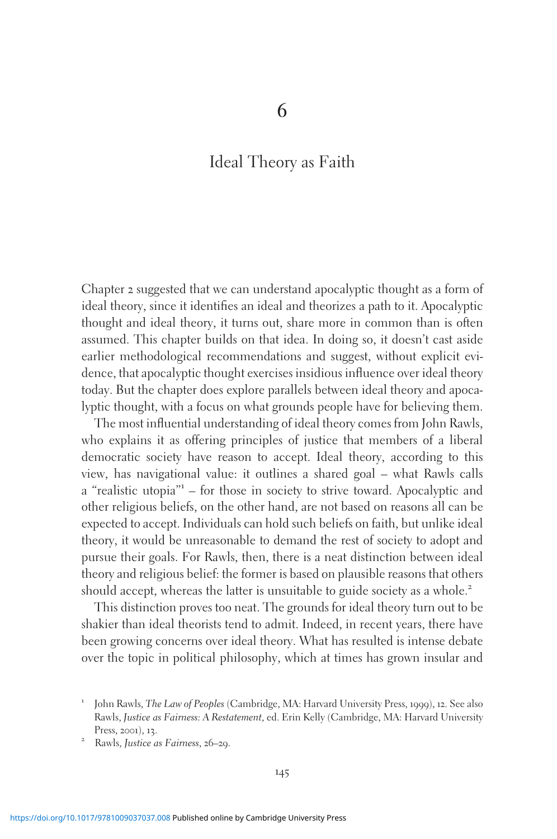6

# Ideal Theory as Faith

Chapter 2 suggested that we can understand apocalyptic thought as a form of ideal theory, since it identifies an ideal and theorizes a path to it. Apocalyptic thought and ideal theory, it turns out, share more in common than is often assumed. This chapter builds on that idea. In doing so, it doesn't cast aside earlier methodological recommendations and suggest, without explicit evidence, that apocalyptic thought exercises insidious influence over ideal theory today. But the chapter does explore parallels between ideal theory and apocalyptic thought, with a focus on what grounds people have for believing them.

The most influential understanding of ideal theory comes from John Rawls, who explains it as offering principles of justice that members of a liberal democratic society have reason to accept. Ideal theory, according to this view, has navigational value: it outlines a shared goal – what Rawls calls a "realistic utopia" $-$  for those in society to strive toward. Apocalyptic and other religious beliefs, on the other hand, are not based on reasons all can be expected to accept. Individuals can hold such beliefs on faith, but unlike ideal theory, it would be unreasonable to demand the rest of society to adopt and pursue their goals. For Rawls, then, there is a neat distinction between ideal theory and religious belief: the former is based on plausible reasons that others should accept, whereas the latter is unsuitable to guide society as a whole.<sup>2</sup>

This distinction proves too neat. The grounds for ideal theory turn out to be shakier than ideal theorists tend to admit. Indeed, in recent years, there have been growing concerns over ideal theory. What has resulted is intense debate over the topic in political philosophy, which at times has grown insular and

<sup>1</sup> John Rawls, The Law of Peoples (Cambridge, MA: Harvard University Press, <sup>1999</sup>), <sup>12</sup>. See also Rawls, Justice as Fairness: A Restatement, ed. Erin Kelly (Cambridge, MA: Harvard University Press, 2001), 13.<br><sup>2</sup> Rawls, Justice as Fairness, 26–29.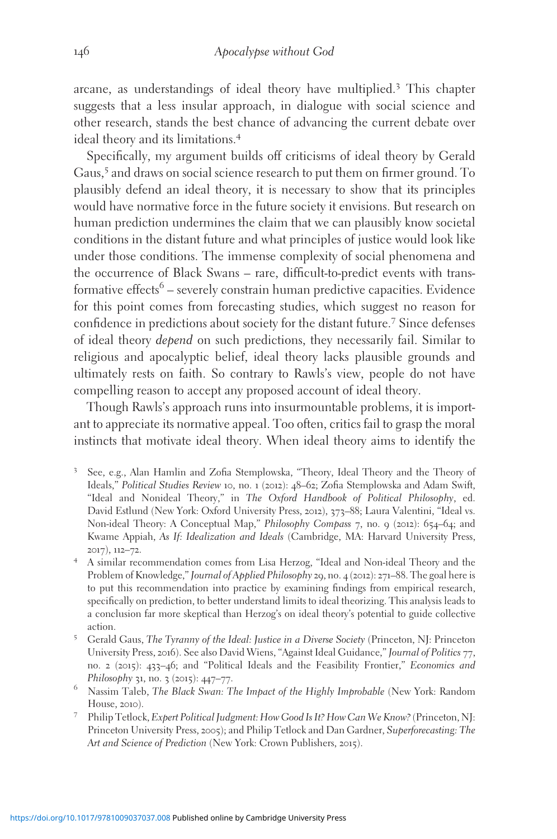arcane, as understandings of ideal theory have multiplied.<sup>3</sup> This chapter suggests that a less insular approach, in dialogue with social science and other research, stands the best chance of advancing the current debate over ideal theory and its limitations.<sup>4</sup>

Specifically, my argument builds off criticisms of ideal theory by Gerald Gaus,<sup>5</sup> and draws on social science research to put them on firmer ground. To plausibly defend an ideal theory, it is necessary to show that its principles would have normative force in the future society it envisions. But research on human prediction undermines the claim that we can plausibly know societal conditions in the distant future and what principles of justice would look like under those conditions. The immense complexity of social phenomena and the occurrence of Black Swans – rare, difficult-to-predict events with transformative effects<sup>6</sup> – severely constrain human predictive capacities. Evidence for this point comes from forecasting studies, which suggest no reason for confidence in predictions about society for the distant future.<sup>7</sup> Since defenses of ideal theory depend on such predictions, they necessarily fail. Similar to religious and apocalyptic belief, ideal theory lacks plausible grounds and ultimately rests on faith. So contrary to Rawls's view, people do not have compelling reason to accept any proposed account of ideal theory.

Though Rawls's approach runs into insurmountable problems, it is important to appreciate its normative appeal. Too often, critics fail to grasp the moral instincts that motivate ideal theory. When ideal theory aims to identify the

- <sup>3</sup> See, e.g., Alan Hamlin and Zofia Stemplowska, "Theory, Ideal Theory and the Theory of Ideals," Political Studies Review 10, no. 1 (2012): 48–62; Zofia Stemplowska and Adam Swift, "Ideal and Nonideal Theory," in The Oxford Handbook of Political Philosophy, ed. David Estlund (New York: Oxford University Press, 2012), 373–88; Laura Valentini, "Ideal vs. Non-ideal Theory: A Conceptual Map," Philosophy Compass 7, no. 9 (2012): 654–64; and Kwame Appiah, As If: Idealization and Ideals (Cambridge, MA: Harvard University Press, <sup>2017</sup>), <sup>112</sup>–72. <sup>4</sup> A similar recommendation comes from Lisa Herzog, "Ideal and Non-ideal Theory and the
- Problem of Knowledge," Journal of Applied Philosophy 29, no. 4 (2012): 271–88. The goal here is to put this recommendation into practice by examining findings from empirical research, specifically on prediction, to better understand limits to ideal theorizing. This analysis leads to a conclusion far more skeptical than Herzog's on ideal theory's potential to guide collective action.<br><sup>5</sup> Gerald Gaus, *The Tyranny of the Ideal: Justice in a Diverse Society (Princeton, NJ: Princeton*
- University Press, 2016). See also David Wiens, "Against Ideal Guidance," Journal of Politics 77, no. 2 (2015): 433–46; and "Political Ideals and the Feasibility Frontier," Economics and
- Philosophy 31, no. 3 (2015): 447–77.<br><sup>6</sup> Nassim Taleb, *The Black Swan: The Impact of the Highly Improbable* (New York: Random
- House, <sup>2010</sup>). <sup>7</sup> Philip Tetlock, Expert Political Judgment: How Good Is It? How Can We Know?(Princeton, NJ: Princeton University Press, 2005); and Philip Tetlock and Dan Gardner, Superforecasting: The Art and Science of Prediction (New York: Crown Publishers, 2015).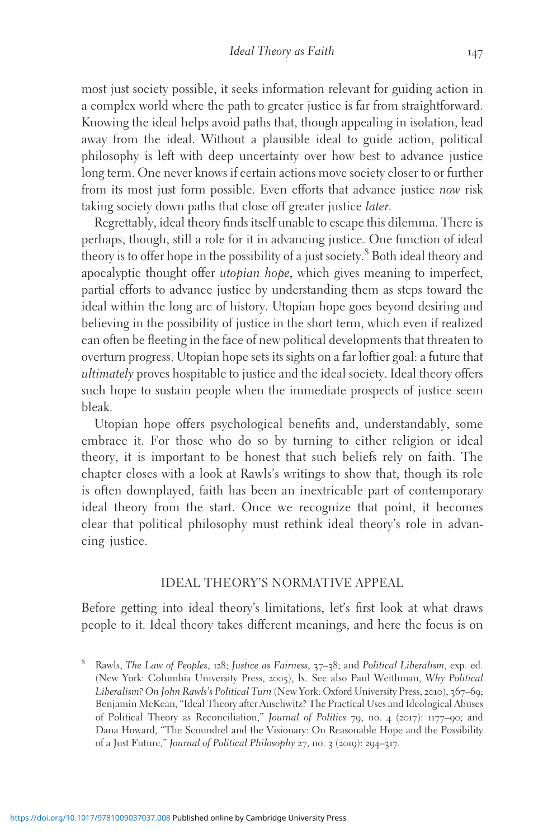most just society possible, it seeks information relevant for guiding action in a complex world where the path to greater justice is far from straightforward. Knowing the ideal helps avoid paths that, though appealing in isolation, lead away from the ideal. Without a plausible ideal to guide action, political philosophy is left with deep uncertainty over how best to advance justice long term. One never knows if certain actions move society closer to or further from its most just form possible. Even efforts that advance justice now risk taking society down paths that close off greater justice later.

Regrettably, ideal theory finds itself unable to escape this dilemma. There is perhaps, though, still a role for it in advancing justice. One function of ideal theory is to offer hope in the possibility of a just society.<sup>8</sup> Both ideal theory and apocalyptic thought offer utopian hope, which gives meaning to imperfect, partial efforts to advance justice by understanding them as steps toward the ideal within the long arc of history. Utopian hope goes beyond desiring and believing in the possibility of justice in the short term, which even if realized can often be fleeting in the face of new political developments that threaten to overturn progress. Utopian hope sets its sights on a far loftier goal: a future that ultimately proves hospitable to justice and the ideal society. Ideal theory offers such hope to sustain people when the immediate prospects of justice seem bleak.

Utopian hope offers psychological benefits and, understandably, some embrace it. For those who do so by turning to either religion or ideal theory, it is important to be honest that such beliefs rely on faith. The chapter closes with a look at Rawls's writings to show that, though its role is often downplayed, faith has been an inextricable part of contemporary ideal theory from the start. Once we recognize that point, it becomes clear that political philosophy must rethink ideal theory's role in advancing justice.

#### IDEAL THEORY'S NORMATIVE APPEAL

Before getting into ideal theory's limitations, let's first look at what draws people to it. Ideal theory takes different meanings, and here the focus is on

<sup>8</sup> Rawls, The Law of Peoples, 128; Justice as Fairness, 37-38; and Political Liberalism, exp. ed. (New York: Columbia University Press, 2005), lx. See also Paul Weithman, Why Political Liberalism? On John Rawls's Political Turn (New York: Oxford University Press, 2010), 367-69; Benjamin McKean, "Ideal Theory after Auschwitz? The Practical Uses and Ideological Abuses of Political Theory as Reconciliation," Journal of Politics 79, no. 4 (2017): 1177–90; and Dana Howard, "The Scoundrel and the Visionary: On Reasonable Hope and the Possibility of a Just Future," Journal of Political Philosophy 27, no. 3 (2019): 294–317.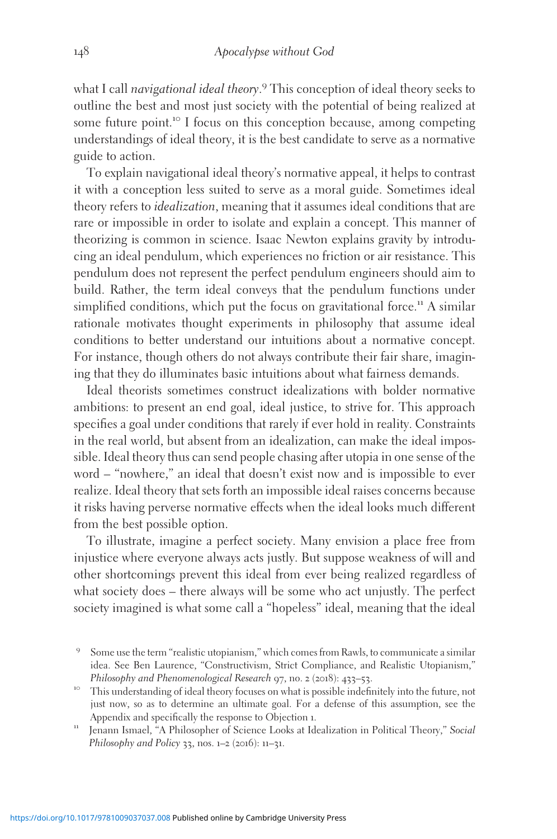what I call navigational ideal theory.<sup>9</sup> This conception of ideal theory seeks to outline the best and most just society with the potential of being realized at some future point.<sup>10</sup> I focus on this conception because, among competing understandings of ideal theory, it is the best candidate to serve as a normative guide to action.

To explain navigational ideal theory's normative appeal, it helps to contrast it with a conception less suited to serve as a moral guide. Sometimes ideal theory refers to *idealization*, meaning that it assumes ideal conditions that are rare or impossible in order to isolate and explain a concept. This manner of theorizing is common in science. Isaac Newton explains gravity by introducing an ideal pendulum, which experiences no friction or air resistance. This pendulum does not represent the perfect pendulum engineers should aim to build. Rather, the term ideal conveys that the pendulum functions under simplified conditions, which put the focus on gravitational force.<sup>11</sup> A similar rationale motivates thought experiments in philosophy that assume ideal conditions to better understand our intuitions about a normative concept. For instance, though others do not always contribute their fair share, imagining that they do illuminates basic intuitions about what fairness demands.

Ideal theorists sometimes construct idealizations with bolder normative ambitions: to present an end goal, ideal justice, to strive for. This approach specifies a goal under conditions that rarely if ever hold in reality. Constraints in the real world, but absent from an idealization, can make the ideal impossible. Ideal theory thus can send people chasing after utopia in one sense of the word – "nowhere," an ideal that doesn't exist now and is impossible to ever realize. Ideal theory that sets forth an impossible ideal raises concerns because it risks having perverse normative effects when the ideal looks much different from the best possible option.

To illustrate, imagine a perfect society. Many envision a place free from injustice where everyone always acts justly. But suppose weakness of will and other shortcomings prevent this ideal from ever being realized regardless of what society does – there always will be some who act unjustly. The perfect society imagined is what some call a "hopeless" ideal, meaning that the ideal

<sup>9</sup> Some use the term "realistic utopianism," which comes from Rawls, to communicate a similar idea. See Ben Laurence, "Constructivism, Strict Compliance, and Realistic Utopianism,"

Philosophy and Phenomenological Research 97, no. 2 (2018): 433–53.<br><sup>10</sup> This understanding of ideal theory focuses on what is possible indefinitely into the future, not just now, so as to determine an ultimate goal. For a defense of this assumption, see the Appendix and specifically the response to Objection 1.<br><sup>11</sup> Jenann Ismael, "A Philosopher of Science Looks at Idealization in Political Theory," Social

Philosophy and Policy 33, nos. 1-2 (2016): 11-31.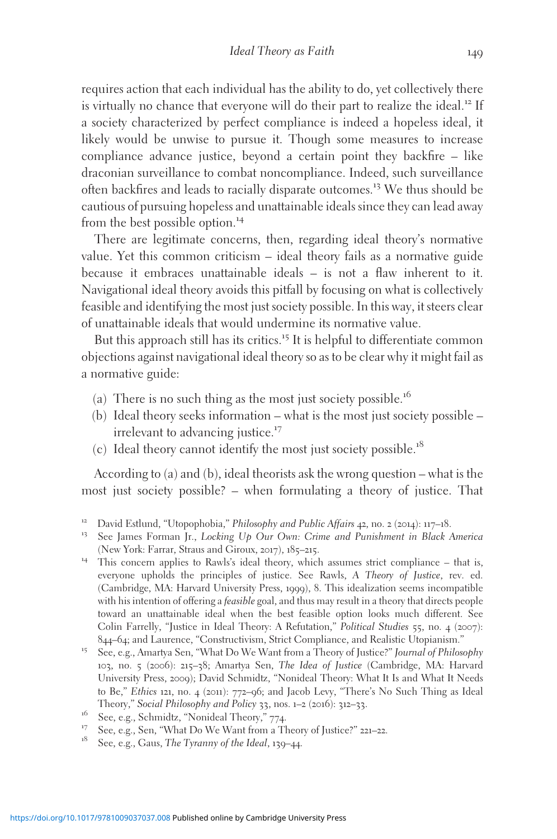requires action that each individual has the ability to do, yet collectively there is virtually no chance that everyone will do their part to realize the ideal.<sup>12</sup> If a society characterized by perfect compliance is indeed a hopeless ideal, it likely would be unwise to pursue it. Though some measures to increase compliance advance justice, beyond a certain point they backfire – like draconian surveillance to combat noncompliance. Indeed, such surveillance often backfires and leads to racially disparate outcomes.<sup>13</sup> We thus should be cautious of pursuing hopeless and unattainable ideals since they can lead away from the best possible option.<sup>14</sup>

There are legitimate concerns, then, regarding ideal theory's normative value. Yet this common criticism – ideal theory fails as a normative guide because it embraces unattainable ideals – is not a flaw inherent to it. Navigational ideal theory avoids this pitfall by focusing on what is collectively feasible and identifying the most just society possible. In this way, it steers clear of unattainable ideals that would undermine its normative value.

But this approach still has its critics.<sup>15</sup> It is helpful to differentiate common objections against navigational ideal theory so as to be clear why it might fail as a normative guide:

- (a) There is no such thing as the most just society possible.<sup>16</sup>
- (b) Ideal theory seeks information what is the most just society possible irrelevant to advancing justice.<sup>17</sup>
- (c) Ideal theory cannot identify the most just society possible.<sup>18</sup>

According to (a) and (b), ideal theorists ask the wrong question – what is the most just society possible? – when formulating a theory of justice. That

- <sup>12</sup> David Estlund, "Utopophobia," Philosophy and Public Affairs 42, no. 2 (2014): 117–18.<br><sup>13</sup> See James Forman Jr., *Locking Up Our Own: Crime and Punishment in Black America*
- 
- (New York: Farrar, Straus and Giroux, 2017), 185–215.<br><sup>14</sup> This concern applies to Rawls's ideal theory, which assumes strict compliance that is, everyone upholds the principles of justice. See Rawls, A Theory of Justice, rev. ed. (Cambridge, MA: Harvard University Press, 1999), 8. This idealization seems incompatible with his intention of offering a *feasible* goal, and thus may result in a theory that directs people toward an unattainable ideal when the best feasible option looks much different. See Colin Farrelly, "Justice in Ideal Theory: A Refutation," Political Studies 55, no. 4 (2007):
- <sup>844</sup>–64; and Laurence, "Constructivism, Strict Compliance, and Realistic Utopianism." <sup>15</sup> See, e.g., Amartya Sen, "What Do We Want from a Theory of Justice?" Journal of Philosophy 103, no. 5 (2006): 215–38; Amartya Sen, The Idea of Justice (Cambridge, MA: Harvard University Press, 2009); David Schmidtz, "Nonideal Theory: What It Is and What It Needs to Be," Ethics 121, no. 4 (2011): 772–96; and Jacob Levy, "There's No Such Thing as Ideal Theory," Social Philosophy and Policy 33, nos. 1–2 (2016): 312–33.
- <sup>16</sup> See, e.g., Schmidtz, "Nonideal Theory," 774.<br><sup>17</sup> See, e.g., Sen, "What Do We Want from a Theory of Justice?" 221–22.<br><sup>18</sup> See, e.g., Gaus, *The Tyranny of the Ideal*, 139–44.
-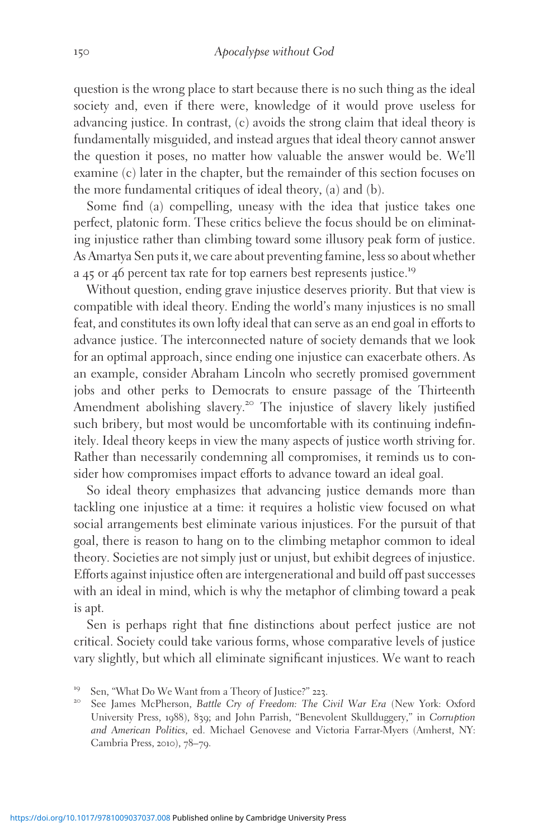question is the wrong place to start because there is no such thing as the ideal society and, even if there were, knowledge of it would prove useless for advancing justice. In contrast, (c) avoids the strong claim that ideal theory is fundamentally misguided, and instead argues that ideal theory cannot answer the question it poses, no matter how valuable the answer would be. We'll examine (c) later in the chapter, but the remainder of this section focuses on the more fundamental critiques of ideal theory, (a) and (b).

Some find (a) compelling, uneasy with the idea that justice takes one perfect, platonic form. These critics believe the focus should be on eliminating injustice rather than climbing toward some illusory peak form of justice. As Amartya Sen puts it, we care about preventing famine, less so about whether <sup>a</sup> <sup>45</sup> or <sup>46</sup> percent tax rate for top earners best represents justice.<sup>19</sup>

Without question, ending grave injustice deserves priority. But that view is compatible with ideal theory. Ending the world's many injustices is no small feat, and constitutes its own lofty ideal that can serve as an end goal in efforts to advance justice. The interconnected nature of society demands that we look for an optimal approach, since ending one injustice can exacerbate others. As an example, consider Abraham Lincoln who secretly promised government jobs and other perks to Democrats to ensure passage of the Thirteenth Amendment abolishing slavery.<sup>20</sup> The injustice of slavery likely justified such bribery, but most would be uncomfortable with its continuing indefinitely. Ideal theory keeps in view the many aspects of justice worth striving for. Rather than necessarily condemning all compromises, it reminds us to consider how compromises impact efforts to advance toward an ideal goal.

So ideal theory emphasizes that advancing justice demands more than tackling one injustice at a time: it requires a holistic view focused on what social arrangements best eliminate various injustices. For the pursuit of that goal, there is reason to hang on to the climbing metaphor common to ideal theory. Societies are not simply just or unjust, but exhibit degrees of injustice. Efforts against injustice often are intergenerational and build off past successes with an ideal in mind, which is why the metaphor of climbing toward a peak is apt.

Sen is perhaps right that fine distinctions about perfect justice are not critical. Society could take various forms, whose comparative levels of justice vary slightly, but which all eliminate significant injustices. We want to reach

<sup>&</sup>lt;sup>19</sup> Sen, "What Do We Want from a Theory of Justice?" 223.<br><sup>20</sup> See James McPherson, *Battle Cry of Freedom: The Civil War Era* (New York: Oxford University Press, 1988), 839; and John Parrish, "Benevolent Skullduggery," in Corruption and American Politics, ed. Michael Genovese and Victoria Farrar-Myers (Amherst, NY: Cambria Press, 2010), 78–79.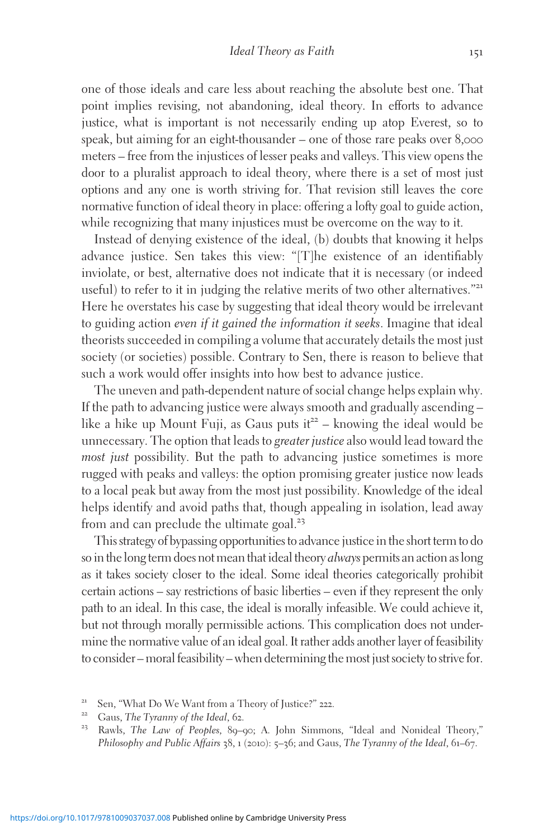one of those ideals and care less about reaching the absolute best one. That point implies revising, not abandoning, ideal theory. In efforts to advance justice, what is important is not necessarily ending up atop Everest, so to speak, but aiming for an eight-thousander – one of those rare peaks over 8,000 meters – free from the injustices of lesser peaks and valleys. This view opens the door to a pluralist approach to ideal theory, where there is a set of most just options and any one is worth striving for. That revision still leaves the core normative function of ideal theory in place: offering a lofty goal to guide action, while recognizing that many injustices must be overcome on the way to it.

Instead of denying existence of the ideal, (b) doubts that knowing it helps advance justice. Sen takes this view: "[T]he existence of an identifiably inviolate, or best, alternative does not indicate that it is necessary (or indeed useful) to refer to it in judging the relative merits of two other alternatives."<sup>21</sup> Here he overstates his case by suggesting that ideal theory would be irrelevant to guiding action even if it gained the information it seeks. Imagine that ideal theorists succeeded in compiling a volume that accurately details the most just society (or societies) possible. Contrary to Sen, there is reason to believe that such a work would offer insights into how best to advance justice.

The uneven and path-dependent nature of social change helps explain why. If the path to advancing justice were always smooth and gradually ascending – like a hike up Mount Fuji, as Gaus puts  $it^{22}$  – knowing the ideal would be unnecessary. The option that leads to greater justice also would lead toward the most just possibility. But the path to advancing justice sometimes is more rugged with peaks and valleys: the option promising greater justice now leads to a local peak but away from the most just possibility. Knowledge of the ideal helps identify and avoid paths that, though appealing in isolation, lead away from and can preclude the ultimate goal.<sup>23</sup>

This strategy of bypassing opportunities to advance justice in the short term to do so in the long term does not mean that ideal theory *always* permits an action as long as it takes society closer to the ideal. Some ideal theories categorically prohibit certain actions – say restrictions of basic liberties – even if they represent the only path to an ideal. In this case, the ideal is morally infeasible. We could achieve it, but not through morally permissible actions. This complication does not undermine the normative value of an ideal goal. It rather adds another layer of feasibility to consider – moral feasibility – when determining the most just society to strivefor.

<sup>&</sup>lt;sup>21</sup> Sen, "What Do We Want from a Theory of Justice?" 222.<br><sup>22</sup> Gaus, *The Tyranny of the Ideal*, 62.<br><sup>23</sup> Rawls, *The Law of Peoples*, 89–90; A. John Simmons, "Ideal and Nonideal Theory," Philosophy and Public Affairs 38, 1 (2010): 5-36; and Gaus, The Tyranny of the Ideal, 61-67.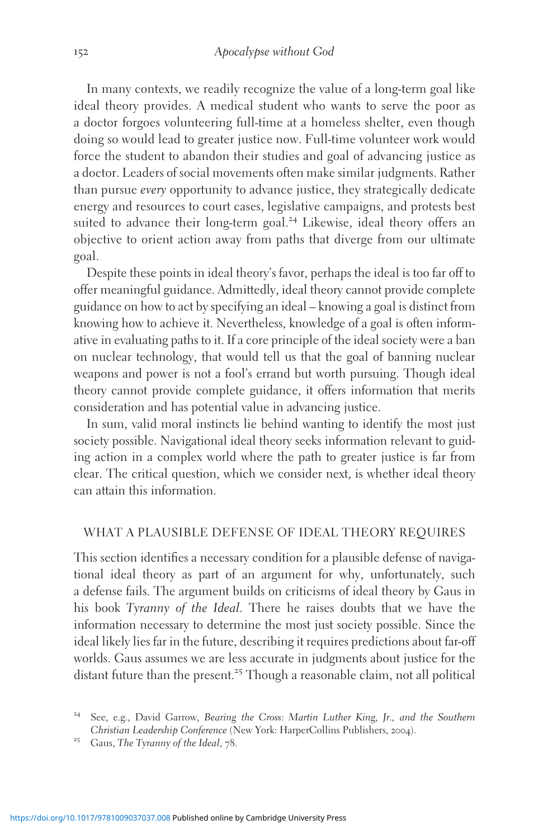In many contexts, we readily recognize the value of a long-term goal like ideal theory provides. A medical student who wants to serve the poor as a doctor forgoes volunteering full-time at a homeless shelter, even though doing so would lead to greater justice now. Full-time volunteer work would force the student to abandon their studies and goal of advancing justice as a doctor. Leaders of social movements often make similar judgments. Rather than pursue every opportunity to advance justice, they strategically dedicate energy and resources to court cases, legislative campaigns, and protests best suited to advance their long-term goal.<sup>24</sup> Likewise, ideal theory offers an objective to orient action away from paths that diverge from our ultimate goal.

Despite these points in ideal theory's favor, perhaps the ideal is too far off to offer meaningful guidance. Admittedly, ideal theory cannot provide complete guidance on how to act by specifying an ideal – knowing a goal is distinct from knowing how to achieve it. Nevertheless, knowledge of a goal is often informative in evaluating paths to it. If a core principle of the ideal society were a ban on nuclear technology, that would tell us that the goal of banning nuclear weapons and power is not a fool's errand but worth pursuing. Though ideal theory cannot provide complete guidance, it offers information that merits consideration and has potential value in advancing justice.

In sum, valid moral instincts lie behind wanting to identify the most just society possible. Navigational ideal theory seeks information relevant to guiding action in a complex world where the path to greater justice is far from clear. The critical question, which we consider next, is whether ideal theory can attain this information.

#### WHAT A PLAUSIBLE DEFENSE OF IDEAL THEORY REQUIRES

This section identifies a necessary condition for a plausible defense of navigational ideal theory as part of an argument for why, unfortunately, such a defense fails. The argument builds on criticisms of ideal theory by Gaus in his book Tyranny of the Ideal. There he raises doubts that we have the information necessary to determine the most just society possible. Since the ideal likely lies far in the future, describing it requires predictions about far-off worlds. Gaus assumes we are less accurate in judgments about justice for the distant future than the present.<sup>25</sup> Though a reasonable claim, not all political

<sup>&</sup>lt;sup>24</sup> See, e.g., David Garrow, Bearing the Cross: Martin Luther King, Jr., and the Southern Christian Leadership Conference (New York: HarperCollins Publishers, <sup>2004</sup>). <sup>25</sup> Gaus, The Tyranny of the Ideal, <sup>78</sup>.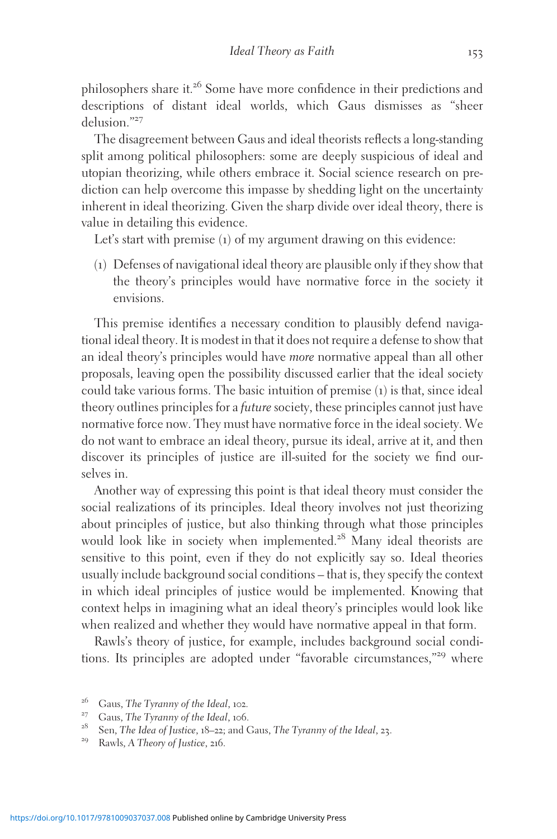philosophers share it.<sup>26</sup> Some have more confidence in their predictions and descriptions of distant ideal worlds, which Gaus dismisses as "sheer delusion."<sup>27</sup>

The disagreement between Gaus and ideal theorists reflects a long-standing split among political philosophers: some are deeply suspicious of ideal and utopian theorizing, while others embrace it. Social science research on prediction can help overcome this impasse by shedding light on the uncertainty inherent in ideal theorizing. Given the sharp divide over ideal theory, there is value in detailing this evidence.

Let's start with premise (1) of my argument drawing on this evidence:

(1) Defenses of navigational ideal theory are plausible only if they show that the theory's principles would have normative force in the society it envisions.

This premise identifies a necessary condition to plausibly defend navigational ideal theory. It is modest in that it does not require a defense to show that an ideal theory's principles would have more normative appeal than all other proposals, leaving open the possibility discussed earlier that the ideal society could take various forms. The basic intuition of premise (1) is that, since ideal theory outlines principles for a future society, these principles cannot just have normative force now. They must have normative force in the ideal society. We do not want to embrace an ideal theory, pursue its ideal, arrive at it, and then discover its principles of justice are ill-suited for the society we find ourselves in.

Another way of expressing this point is that ideal theory must consider the social realizations of its principles. Ideal theory involves not just theorizing about principles of justice, but also thinking through what those principles would look like in society when implemented.<sup>28</sup> Many ideal theorists are sensitive to this point, even if they do not explicitly say so. Ideal theories usually include background social conditions – that is, they specify the context in which ideal principles of justice would be implemented. Knowing that context helps in imagining what an ideal theory's principles would look like when realized and whether they would have normative appeal in that form.

Rawls's theory of justice, for example, includes background social conditions. Its principles are adopted under "favorable circumstances,"<sup>29</sup> where

<sup>&</sup>lt;sup>26</sup> Gaus, The Tyranny of the Ideal, 102.<br><sup>27</sup> Gaus, The Tyranny of the Ideal, 106.<br><sup>28</sup> Sen, The Idea of Justice, 18–22; and Gaus, The Tyranny of the Ideal, 23.<br><sup>29</sup> Rawls, A Theory of Justice, 216.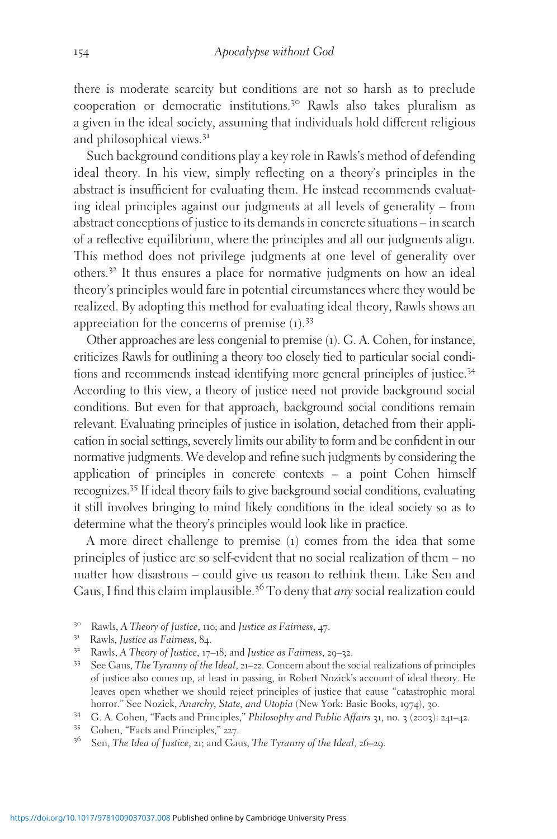there is moderate scarcity but conditions are not so harsh as to preclude cooperation or democratic institutions.<sup>30</sup> Rawls also takes pluralism as a given in the ideal society, assuming that individuals hold different religious and philosophical views.<sup>31</sup>

Such background conditions play a key role in Rawls's method of defending ideal theory. In his view, simply reflecting on a theory's principles in the abstract is insufficient for evaluating them. He instead recommends evaluating ideal principles against our judgments at all levels of generality – from abstract conceptions of justice to its demands in concrete situations – in search of a reflective equilibrium, where the principles and all our judgments align. This method does not privilege judgments at one level of generality over others.<sup>32</sup> It thus ensures a place for normative judgments on how an ideal theory's principles would fare in potential circumstances where they would be realized. By adopting this method for evaluating ideal theory, Rawls shows an appreciation for the concerns of premise  $(1)$ .<sup>33</sup>

Other approaches are less congenial to premise (1). G. A. Cohen, for instance, criticizes Rawls for outlining a theory too closely tied to particular social conditions and recommends instead identifying more general principles of justice.<sup>34</sup> According to this view, a theory of justice need not provide background social conditions. But even for that approach, background social conditions remain relevant. Evaluating principles of justice in isolation, detached from their application in social settings, severely limits our ability to form and be confident in our normative judgments. We develop and refine such judgments by considering the application of principles in concrete contexts – a point Cohen himself recognizes.<sup>35</sup> If ideal theory fails to give background social conditions, evaluating it still involves bringing to mind likely conditions in the ideal society so as to determine what the theory's principles would look like in practice.

A more direct challenge to premise (1) comes from the idea that some principles of justice are so self-evident that no social realization of them – no matter how disastrous – could give us reason to rethink them. Like Sen and Gaus, I find this claim implausible.<sup>36</sup> To deny that *any* social realization could

- 
- 
- <sup>30</sup> Rawls, *A Theory of Justice*, 110; and *Justice as Fairness*, 47.<br><sup>31</sup> Rawls, *Justice as Fairness*, 84.<br><sup>32</sup> Rawls, *A Theory of Justice*, 17–18; and *Justice as Fairness*, 29–32.<br><sup>33</sup> See Gaus, *The Tyranny of the* of justice also comes up, at least in passing, in Robert Nozick's account of ideal theory. He leaves open whether we should reject principles of justice that cause "catastrophic moral horror." See Nozick. Anarchy. State, and Utopia (New York: Basic Books, 1974), 30.
- <sup>34</sup> G. A. Cohen, "Facts and Principles," Philosophy and Public Affairs 31, no. 3 (2003): 241–42.<br><sup>35</sup> Cohen, "Facts and Principles," 227.<br><sup>36</sup> Sen, *The Idea of Justice*, 21; and Gaus, *The Tyranny of the Ideal*, 26–29.
- 
-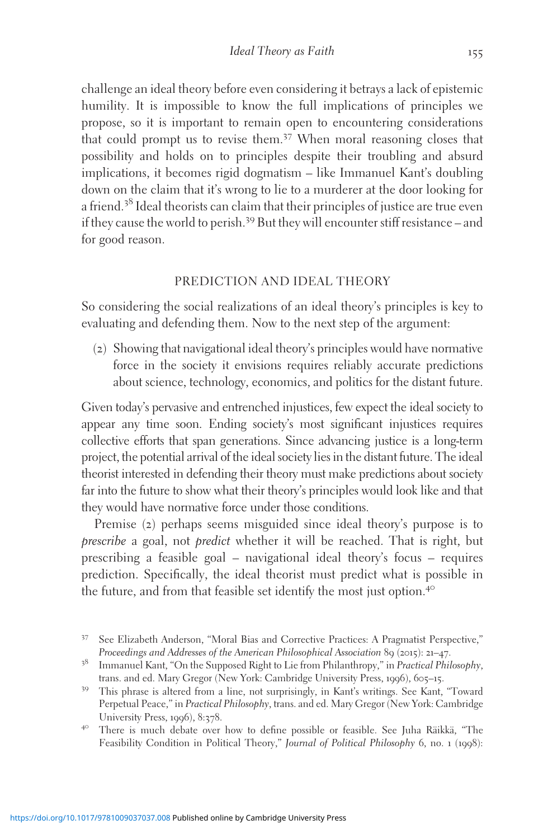challenge an ideal theory before even considering it betrays a lack of epistemic humility. It is impossible to know the full implications of principles we propose, so it is important to remain open to encountering considerations that could prompt us to revise them.<sup>37</sup> When moral reasoning closes that possibility and holds on to principles despite their troubling and absurd implications, it becomes rigid dogmatism – like Immanuel Kant's doubling down on the claim that it's wrong to lie to a murderer at the door looking for a friend.<sup>38</sup> Ideal theorists can claim that their principles of justice are true even if they cause the world to perish.<sup>39</sup> But they will encounter stiff resistance – and for good reason.

#### PREDICTION AND IDEAL THEORY

So considering the social realizations of an ideal theory's principles is key to evaluating and defending them. Now to the next step of the argument:

(2) Showing that navigational ideal theory's principles would have normative force in the society it envisions requires reliably accurate predictions about science, technology, economics, and politics for the distant future.

Given today's pervasive and entrenched injustices, few expect the ideal society to appear any time soon. Ending society's most significant injustices requires collective efforts that span generations. Since advancing justice is a long-term project, the potential arrival of the ideal society lies in the distant future. The ideal theorist interested in defending their theory must make predictions about society far into the future to show what their theory's principles would look like and that they would have normative force under those conditions.

Premise (2) perhaps seems misguided since ideal theory's purpose is to prescribe a goal, not predict whether it will be reached. That is right, but prescribing a feasible goal – navigational ideal theory's focus – requires prediction. Specifically, the ideal theorist must predict what is possible in the future, and from that feasible set identify the most just option.<sup>40</sup>

<sup>&</sup>lt;sup>37</sup> See Elizabeth Anderson, "Moral Bias and Corrective Practices: A Pragmatist Perspective,"<br>Proceedings and Addresses of the American Philosophical Association 89 (2015): 21–47.

<sup>&</sup>lt;sup>38</sup> Immanuel Kant, "On the Supposed Right to Lie from Philanthropy," in Practical Philosophy, trans. and ed. Mary Gregor (New York: Cambridge University Press, <sup>1996</sup>), <sup>605</sup>–15. <sup>39</sup> This phrase is altered from a line, not surprisingly, in Kant's writings. See Kant, "Toward

Perpetual Peace," in Practical Philosophy, trans. and ed. Mary Gregor (New York: Cambridge University Press, 1996), 8:378.<br><sup>40</sup> There is much debate over how to define possible or feasible. See Juha Räikkä, "The

Feasibility Condition in Political Theory," Journal of Political Philosophy 6, no. 1 (1998):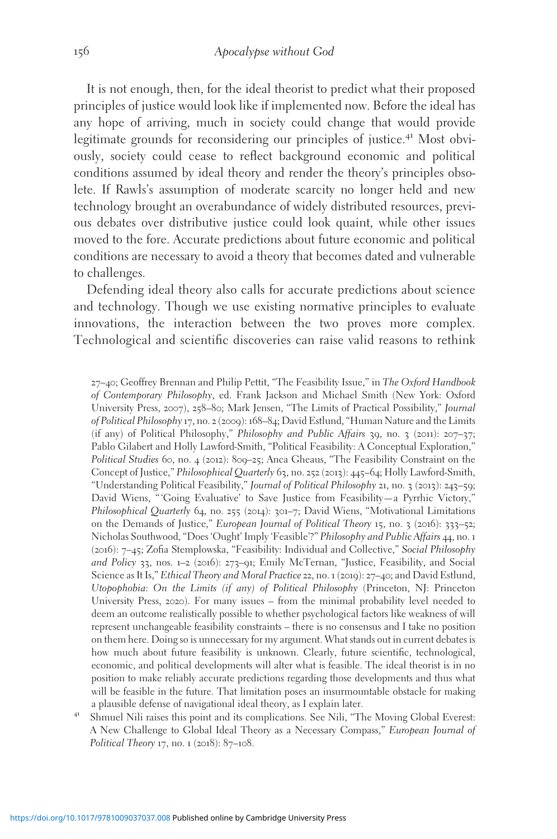It is not enough, then, for the ideal theorist to predict what their proposed principles of justice would look like if implemented now. Before the ideal has any hope of arriving, much in society could change that would provide legitimate grounds for reconsidering our principles of justice.<sup>41</sup> Most obviously, society could cease to reflect background economic and political conditions assumed by ideal theory and render the theory's principles obsolete. If Rawls's assumption of moderate scarcity no longer held and new technology brought an overabundance of widely distributed resources, previous debates over distributive justice could look quaint, while other issues moved to the fore. Accurate predictions about future economic and political conditions are necessary to avoid a theory that becomes dated and vulnerable to challenges.

Defending ideal theory also calls for accurate predictions about science and technology. Though we use existing normative principles to evaluate innovations, the interaction between the two proves more complex. Technological and scientific discoveries can raise valid reasons to rethink

27–40; Geoffrey Brennan and Philip Pettit, "The Feasibility Issue," in The Oxford Handbook of Contemporary Philosophy, ed. Frank Jackson and Michael Smith (New York: Oxford University Press, 2007), 258–80; Mark Jensen, "The Limits of Practical Possibility," Journal of Political Philosophy 17, no. 2 (2009): 168–84; David Estlund, "Human Nature and the Limits (if any) of Political Philosophy," Philosophy and Public Affairs 39, no. 3 (2011):  $207-37$ ; Pablo Gilabert and Holly Lawford-Smith, "Political Feasibility: A Conceptual Exploration," Political Studies 60, no. 4 (2012): 809-25; Anca Gheaus, "The Feasibility Constraint on the Concept of Justice," Philosophical Quarterly 63, no. 252 (2013): 445–64; Holly Lawford-Smith, "Understanding Political Feasibility," Journal of Political Philosophy 21, no. 3 (2013): 243–59; David Wiens, "'Going Evaluative' to Save Justice from Feasibility-a Pyrrhic Victory," Philosophical Quarterly 64, no. 255 (2014): 301–7; David Wiens, "Motivational Limitations on the Demands of Justice," European Journal of Political Theory 15, no. 3 (2016): 333–52; Nicholas Southwood, "Does 'Ought' Imply 'Feasible'?" Philosophy and Public Affairs 44, no. 1 (2016): 7–45; Zofia Stemplowska, "Feasibility: Individual and Collective," Social Philosophy and Policy 33, nos. 1–2 (2016): 273–91; Emily McTernan, "Justice, Feasibility, and Social Science as It Is," Ethical Theory and Moral Practice 22, no. 1 (2019): 27–40; and David Estlund, Utopophobia: On the Limits (if any) of Political Philosophy (Princeton, NJ: Princeton University Press, 2020). For many issues – from the minimal probability level needed to deem an outcome realistically possible to whether psychological factors like weakness of will represent unchangeable feasibility constraints – there is no consensus and I take no position on them here. Doing so is unnecessary for my argument. What stands out in current debates is how much about future feasibility is unknown. Clearly, future scientific, technological, economic, and political developments will alter what is feasible. The ideal theorist is in no position to make reliably accurate predictions regarding those developments and thus what will be feasible in the future. That limitation poses an insurmountable obstacle for making a plausible defense of navigational ideal theory, as I explain later.<br>Shmuel Nili raises this point and its complications. See Nili, "The Moving Global Everest:

A New Challenge to Global Ideal Theory as a Necessary Compass," European Journal of Political Theory 17, no. 1 (2018): 87-108.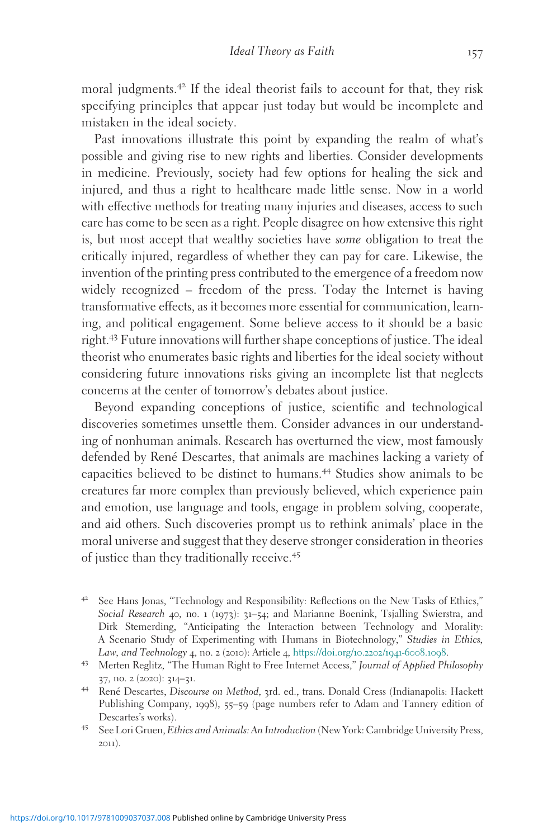moral judgments.<sup>42</sup> If the ideal theorist fails to account for that, they risk specifying principles that appear just today but would be incomplete and mistaken in the ideal society.

Past innovations illustrate this point by expanding the realm of what's possible and giving rise to new rights and liberties. Consider developments in medicine. Previously, society had few options for healing the sick and injured, and thus a right to healthcare made little sense. Now in a world with effective methods for treating many injuries and diseases, access to such care has come to be seen as a right. People disagree on how extensive this right is, but most accept that wealthy societies have some obligation to treat the critically injured, regardless of whether they can pay for care. Likewise, the invention of the printing press contributed to the emergence of a freedom now widely recognized – freedom of the press. Today the Internet is having transformative effects, as it becomes more essential for communication, learning, and political engagement. Some believe access to it should be a basic right.<sup>43</sup> Future innovations will further shape conceptions of justice. The ideal theorist who enumerates basic rights and liberties for the ideal society without considering future innovations risks giving an incomplete list that neglects concerns at the center of tomorrow's debates about justice.

Beyond expanding conceptions of justice, scientific and technological discoveries sometimes unsettle them. Consider advances in our understanding of nonhuman animals. Research has overturned the view, most famously defended by René Descartes, that animals are machines lacking a variety of capacities believed to be distinct to humans.<sup>44</sup> Studies show animals to be creatures far more complex than previously believed, which experience pain and emotion, use language and tools, engage in problem solving, cooperate, and aid others. Such discoveries prompt us to rethink animals' place in the moral universe and suggest that they deserve stronger consideration in theories of justice than they traditionally receive.<sup>45</sup>

<sup>42</sup> See Hans Jonas, "Technology and Responsibility: Reflections on the New Tasks of Ethics," Social Research 40, no. 1 (1973): 31–54; and Marianne Boenink, Tsjalling Swierstra, and Dirk Stemerding, "Anticipating the Interaction between Technology and Morality: A Scenario Study of Experimenting with Humans in Biotechnology," Studies in Ethics, Law, and Technology 4, no. 2 (2010): Article 4, https://doi.org/10.2202/1941-6008.1098.

<sup>&</sup>lt;sup>43</sup> Merten Reglitz, "The Human Right to Free Internet Access," Journal of Applied Philosophy <sup>37</sup>, no. <sup>2</sup> (2020): <sup>314</sup>–31. <sup>44</sup> Rene´ Descartes, Discourse on Method, <sup>3</sup>rd. ed., trans. Donald Cress (Indianapolis: Hackett

Publishing Company, 1998), 55–59 (page numbers refer to Adam and Tannery edition of Descartes's works).<br><sup>45</sup> See Lori Gruen, *Ethics and Animals: An Introduction* (New York: Cambridge University Press,

<sup>2011</sup>).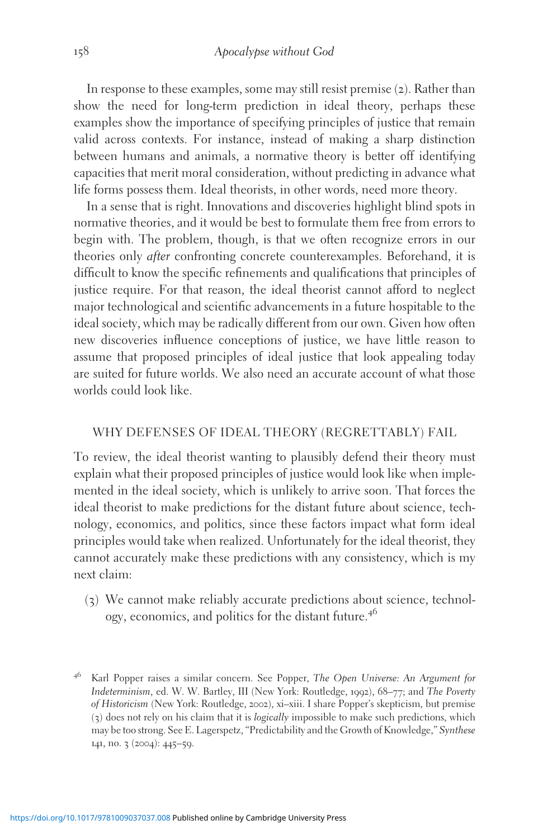In response to these examples, some may still resist premise (2). Rather than show the need for long-term prediction in ideal theory, perhaps these examples show the importance of specifying principles of justice that remain valid across contexts. For instance, instead of making a sharp distinction between humans and animals, a normative theory is better off identifying capacities that merit moral consideration, without predicting in advance what life forms possess them. Ideal theorists, in other words, need more theory.

In a sense that is right. Innovations and discoveries highlight blind spots in normative theories, and it would be best to formulate them free from errors to begin with. The problem, though, is that we often recognize errors in our theories only after confronting concrete counterexamples. Beforehand, it is difficult to know the specific refinements and qualifications that principles of justice require. For that reason, the ideal theorist cannot afford to neglect major technological and scientific advancements in a future hospitable to the ideal society, which may be radically different from our own. Given how often new discoveries influence conceptions of justice, we have little reason to assume that proposed principles of ideal justice that look appealing today are suited for future worlds. We also need an accurate account of what those worlds could look like.

#### WHY DEFENSES OF IDEAL THEORY (REGRETTABLY) FAIL

To review, the ideal theorist wanting to plausibly defend their theory must explain what their proposed principles of justice would look like when implemented in the ideal society, which is unlikely to arrive soon. That forces the ideal theorist to make predictions for the distant future about science, technology, economics, and politics, since these factors impact what form ideal principles would take when realized. Unfortunately for the ideal theorist, they cannot accurately make these predictions with any consistency, which is my next claim:

(3) We cannot make reliably accurate predictions about science, technology, economics, and politics for the distant future.<sup>46</sup>

<sup>&</sup>lt;sup>46</sup> Karl Popper raises a similar concern. See Popper, The Open Universe: An Argument for Indeterminism, ed. W. W. Bartley, III (New York: Routledge, 1992), 68–77; and The Poverty of Historicism (New York: Routledge, 2002), xi–xiii. I share Popper's skepticism, but premise (3) does not rely on his claim that it is logically impossible to make such predictions, which may be too strong. See E. Lagerspetz, "Predictability and the Growth of Knowledge," Synthese 141, no. 3 (2004): 445–59.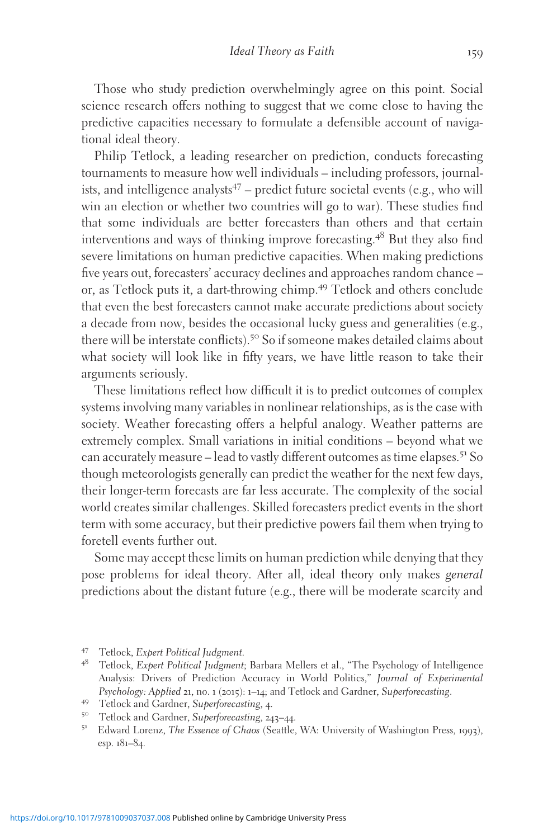Those who study prediction overwhelmingly agree on this point. Social science research offers nothing to suggest that we come close to having the predictive capacities necessary to formulate a defensible account of navigational ideal theory.

Philip Tetlock, a leading researcher on prediction, conducts forecasting tournaments to measure how well individuals – including professors, journalists, and intelligence analysts<sup>47</sup> – predict future societal events (e.g., who will win an election or whether two countries will go to war). These studies find that some individuals are better forecasters than others and that certain interventions and ways of thinking improve forecasting.<sup>48</sup> But they also find severe limitations on human predictive capacities. When making predictions five years out, forecasters' accuracy declines and approaches random chance – or, as Tetlock puts it, a dart-throwing chimp.<sup>49</sup> Tetlock and others conclude that even the best forecasters cannot make accurate predictions about society a decade from now, besides the occasional lucky guess and generalities (e.g., there will be interstate conflicts).<sup>50</sup> So if someone makes detailed claims about what society will look like in fifty years, we have little reason to take their arguments seriously.

These limitations reflect how difficult it is to predict outcomes of complex systems involving many variables in nonlinear relationships, as is the case with society. Weather forecasting offers a helpful analogy. Weather patterns are extremely complex. Small variations in initial conditions – beyond what we can accurately measure – lead to vastly different outcomes as time elapses.<sup>51</sup> So though meteorologists generally can predict the weather for the next few days, their longer-term forecasts are far less accurate. The complexity of the social world creates similar challenges. Skilled forecasters predict events in the short term with some accuracy, but their predictive powers fail them when trying to foretell events further out.

Some may accept these limits on human prediction while denying that they pose problems for ideal theory. After all, ideal theory only makes general predictions about the distant future (e.g., there will be moderate scarcity and

<sup>47</sup> Tetlock, Expert Political Judgment.<br><sup>48</sup> Tetlock, Expert Political Judgment; Barbara Mellers et al., "The Psychology of Intelligence Analysis: Drivers of Prediction Accuracy in World Politics," Journal of Experimental Psychology: Applied 21, no. 1 (2015): 1–14; and Tetlock and Gardner, Superforecasting.<br><sup>49</sup> Tetlock and Gardner, Superforecasting, 4.<br><sup>50</sup> Tetlock and Gardner, Superforecasting, 243–44.<br><sup>51</sup> Edward Lorenz, *The Essence of* 

esp. 181–84.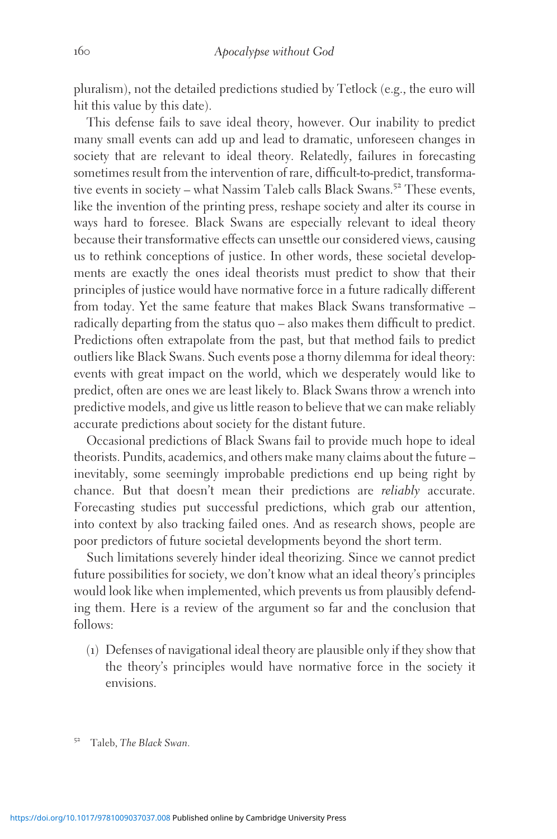pluralism), not the detailed predictions studied by Tetlock (e.g., the euro will hit this value by this date).

This defense fails to save ideal theory, however. Our inability to predict many small events can add up and lead to dramatic, unforeseen changes in society that are relevant to ideal theory. Relatedly, failures in forecasting sometimes result from the intervention of rare, difficult-to-predict, transformative events in society – what Nassim Taleb calls Black Swans.<sup>52</sup> These events, like the invention of the printing press, reshape society and alter its course in ways hard to foresee. Black Swans are especially relevant to ideal theory because their transformative effects can unsettle our considered views, causing us to rethink conceptions of justice. In other words, these societal developments are exactly the ones ideal theorists must predict to show that their principles of justice would have normative force in a future radically different from today. Yet the same feature that makes Black Swans transformative – radically departing from the status quo – also makes them difficult to predict. Predictions often extrapolate from the past, but that method fails to predict outliers like Black Swans. Such events pose a thorny dilemma for ideal theory: events with great impact on the world, which we desperately would like to predict, often are ones we are least likely to. Black Swans throw a wrench into predictive models, and give us little reason to believe that we can make reliably accurate predictions about society for the distant future.

Occasional predictions of Black Swans fail to provide much hope to ideal theorists. Pundits, academics, and others make many claims about the future – inevitably, some seemingly improbable predictions end up being right by chance. But that doesn't mean their predictions are reliably accurate. Forecasting studies put successful predictions, which grab our attention, into context by also tracking failed ones. And as research shows, people are poor predictors of future societal developments beyond the short term.

Such limitations severely hinder ideal theorizing. Since we cannot predict future possibilities for society, we don't know what an ideal theory's principles would look like when implemented, which prevents us from plausibly defending them. Here is a review of the argument so far and the conclusion that follows:

(1) Defenses of navigational ideal theory are plausible only if they show that the theory's principles would have normative force in the society it envisions.

Taleb, The Black Swan.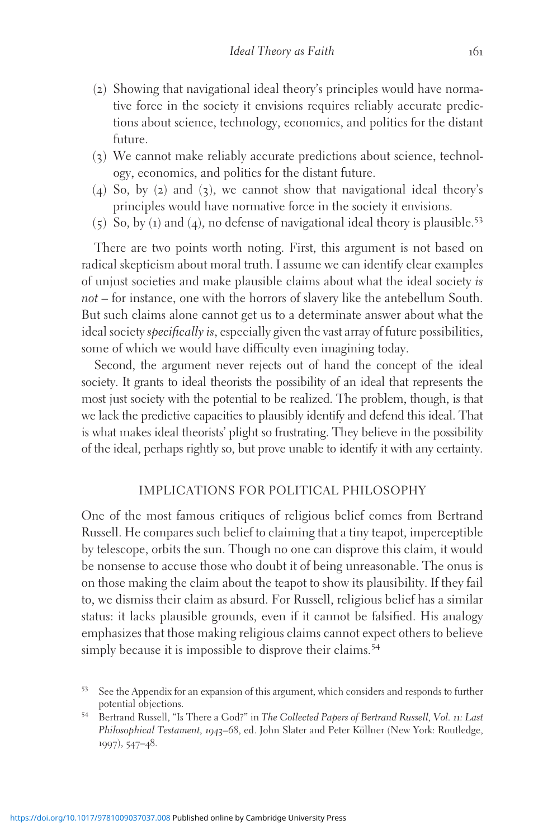- (2) Showing that navigational ideal theory's principles would have normative force in the society it envisions requires reliably accurate predictions about science, technology, economics, and politics for the distant future.
- (3) We cannot make reliably accurate predictions about science, technology, economics, and politics for the distant future.
- (4) So, by (2) and (3), we cannot show that navigational ideal theory's principles would have normative force in the society it envisions.
- (5) So, by (1) and (4), no defense of navigational ideal theory is plausible.<sup>53</sup>

There are two points worth noting. First, this argument is not based on radical skepticism about moral truth. I assume we can identify clear examples of unjust societies and make plausible claims about what the ideal society is not – for instance, one with the horrors of slavery like the antebellum South. But such claims alone cannot get us to a determinate answer about what the ideal society *specifically is*, especially given the vast array of future possibilities, some of which we would have difficulty even imagining today.

Second, the argument never rejects out of hand the concept of the ideal society. It grants to ideal theorists the possibility of an ideal that represents the most just society with the potential to be realized. The problem, though, is that we lack the predictive capacities to plausibly identify and defend this ideal. That is what makes ideal theorists' plight so frustrating. They believe in the possibility of the ideal, perhaps rightly so, but prove unable to identify it with any certainty.

## IMPLICATIONS FOR POLITICAL PHILOSOPHY

One of the most famous critiques of religious belief comes from Bertrand Russell. He compares such belief to claiming that a tiny teapot, imperceptible by telescope, orbits the sun. Though no one can disprove this claim, it would be nonsense to accuse those who doubt it of being unreasonable. The onus is on those making the claim about the teapot to show its plausibility. If they fail to, we dismiss their claim as absurd. For Russell, religious belief has a similar status: it lacks plausible grounds, even if it cannot be falsified. His analogy emphasizes that those making religious claims cannot expect others to believe simply because it is impossible to disprove their claims.<sup>54</sup>

<sup>53</sup> See the Appendix for an expansion of this argument, which considers and responds to further potential objections. <sup>54</sup> Bertrand Russell, "Is There a God?" in The Collected Papers of Bertrand Russell, Vol. <sup>11</sup>: Last

Philosophical Testament, 1943–68, ed. John Slater and Peter Köllner (New York: Routledge, 1997), 547–48.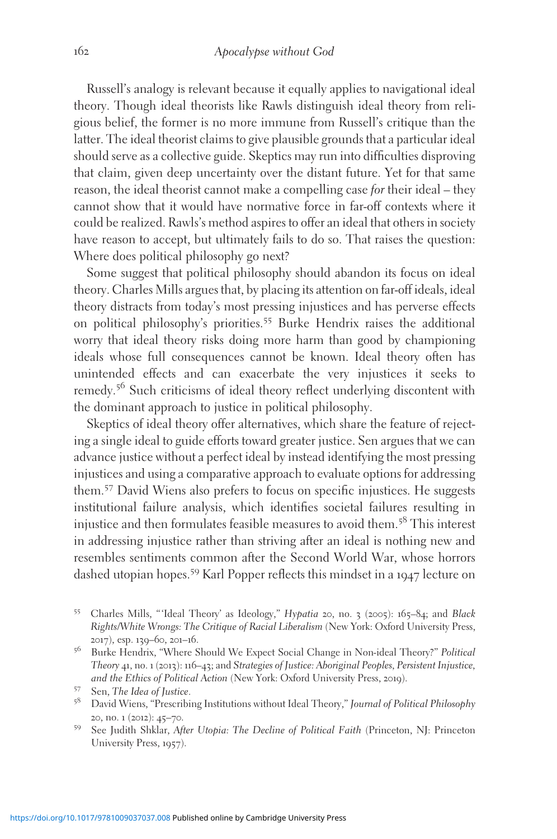Russell's analogy is relevant because it equally applies to navigational ideal theory. Though ideal theorists like Rawls distinguish ideal theory from religious belief, the former is no more immune from Russell's critique than the latter. The ideal theorist claims to give plausible grounds that a particular ideal should serve as a collective guide. Skeptics may run into difficulties disproving that claim, given deep uncertainty over the distant future. Yet for that same reason, the ideal theorist cannot make a compelling case for their ideal – they cannot show that it would have normative force in far-off contexts where it could be realized. Rawls's method aspires to offer an ideal that others in society have reason to accept, but ultimately fails to do so. That raises the question: Where does political philosophy go next?

Some suggest that political philosophy should abandon its focus on ideal theory. Charles Mills argues that, by placing its attention on far-off ideals, ideal theory distracts from today's most pressing injustices and has perverse effects on political philosophy's priorities.<sup>55</sup> Burke Hendrix raises the additional worry that ideal theory risks doing more harm than good by championing ideals whose full consequences cannot be known. Ideal theory often has unintended effects and can exacerbate the very injustices it seeks to remedy.<sup>56</sup> Such criticisms of ideal theory reflect underlying discontent with the dominant approach to justice in political philosophy.

Skeptics of ideal theory offer alternatives, which share the feature of rejecting a single ideal to guide efforts toward greater justice. Sen argues that we can advance justice without a perfect ideal by instead identifying the most pressing injustices and using a comparative approach to evaluate options for addressing them.<sup>57</sup> David Wiens also prefers to focus on specific injustices. He suggests institutional failure analysis, which identifies societal failures resulting in injustice and then formulates feasible measures to avoid them.<sup>58</sup> This interest in addressing injustice rather than striving after an ideal is nothing new and resembles sentiments common after the Second World War, whose horrors dashed utopian hopes.<sup>59</sup> Karl Popper reflects this mindset in a <sup>1947</sup> lecture on

- <sup>55</sup> Charles Mills, " 'Ideal Theory' as Ideology," Hypatia <sup>20</sup>, no. <sup>3</sup> (2005): <sup>165</sup>–84; and Black Rights/White Wrongs: The Critique of Racial Liberalism (New York: Oxford University Press,
- 2017), esp. 139–60, 201–16. <br> $^{56}$  Burke Hendrix, "Where Should We Expect Social Change in Non-ideal Theory?" Political Theory 41, no. 1 (2013): 116–43; and Strategies of Justice: Aboriginal Peoples, Persistent Injustice, and the Ethics of Political Action (New York: Oxford University Press, 2019).
- <sup>57</sup> Sen, *The Idea of Justice.*<br><sup>58</sup> David Wiens, "Prescribing Institutions without Ideal Theory," *Journal of Political Philosophy* <sup>20</sup>, no. <sup>1</sup> (2012): <sup>45</sup>–70. <sup>59</sup> See Judith Shklar, After Utopia: The Decline of Political Faith (Princeton, NJ: Princeton
- University Press, 1957).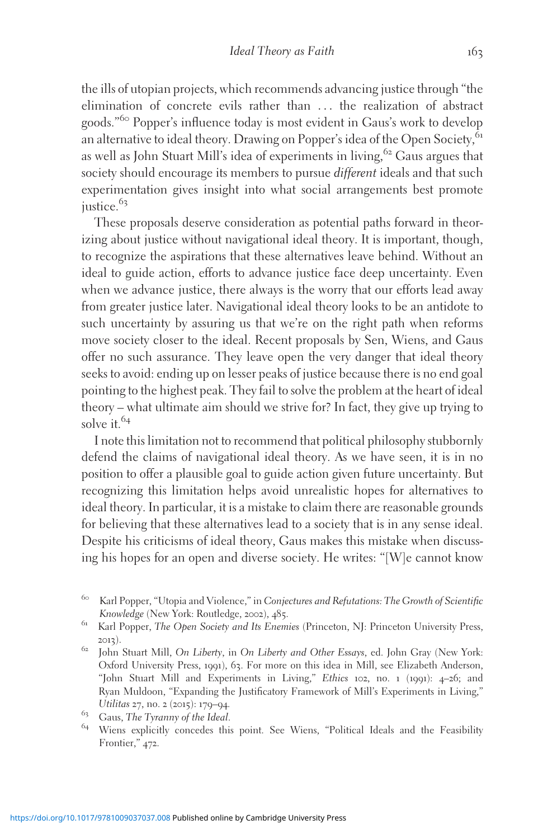the ills of utopian projects, which recommends advancing justice through "the elimination of concrete evils rather than ... the realization of abstract goods."<sup>60</sup> Popper's influence today is most evident in Gaus's work to develop an alternative to ideal theory. Drawing on Popper's idea of the Open Society, <sup>61</sup> as well as John Stuart Mill's idea of experiments in living,  $62^{\circ}$  Gaus argues that society should encourage its members to pursue *different* ideals and that such experimentation gives insight into what social arrangements best promote justice.<sup>63</sup>

These proposals deserve consideration as potential paths forward in theorizing about justice without navigational ideal theory. It is important, though, to recognize the aspirations that these alternatives leave behind. Without an ideal to guide action, efforts to advance justice face deep uncertainty. Even when we advance justice, there always is the worry that our efforts lead away from greater justice later. Navigational ideal theory looks to be an antidote to such uncertainty by assuring us that we're on the right path when reforms move society closer to the ideal. Recent proposals by Sen, Wiens, and Gaus offer no such assurance. They leave open the very danger that ideal theory seeks to avoid: ending up on lesser peaks of justice because there is no end goal pointing to the highest peak. They fail to solve the problem at the heart of ideal theory – what ultimate aim should we strive for? In fact, they give up trying to solve it. $64$ 

I note this limitation not to recommend that political philosophy stubbornly defend the claims of navigational ideal theory. As we have seen, it is in no position to offer a plausible goal to guide action given future uncertainty. But recognizing this limitation helps avoid unrealistic hopes for alternatives to ideal theory. In particular, it is a mistake to claim there are reasonable grounds for believing that these alternatives lead to a society that is in any sense ideal. Despite his criticisms of ideal theory, Gaus makes this mistake when discussing his hopes for an open and diverse society. He writes: "[W]e cannot know

<sup>&</sup>lt;sup>60</sup> Karl Popper, "Utopia and Violence," in Conjectures and Refutations: The Growth of Scientific Knowledge (New York: Routledge, 2002), 485.

<sup>&</sup>lt;sup>61</sup> Karl Popper, The Open Society and Its Enemies (Princeton, NJ: Princeton University Press,

<sup>&</sup>lt;sup>62</sup> John Stuart Mill, *On Liberty*, in *On Liberty and Other Essays*, ed. John Gray (New York: Oxford University Press, 1991), 63. For more on this idea in Mill, see Elizabeth Anderson, "John Stuart Mill and Experiments in Living," Ethics 102, no. 1 (1991): 4–26; and Ryan Muldoon, "Expanding the Justificatory Framework of Mill's Experiments in Living,"

Utilitas 27, no. 2 (2015): 179–94.<br>
<sup>63</sup> Gaus, *The Tyranny of the Ideal.*<br>
<sup>64</sup> Wiens explicitly concedes this point. See Wiens, "Political Ideals and the Feasibility Frontier," 472.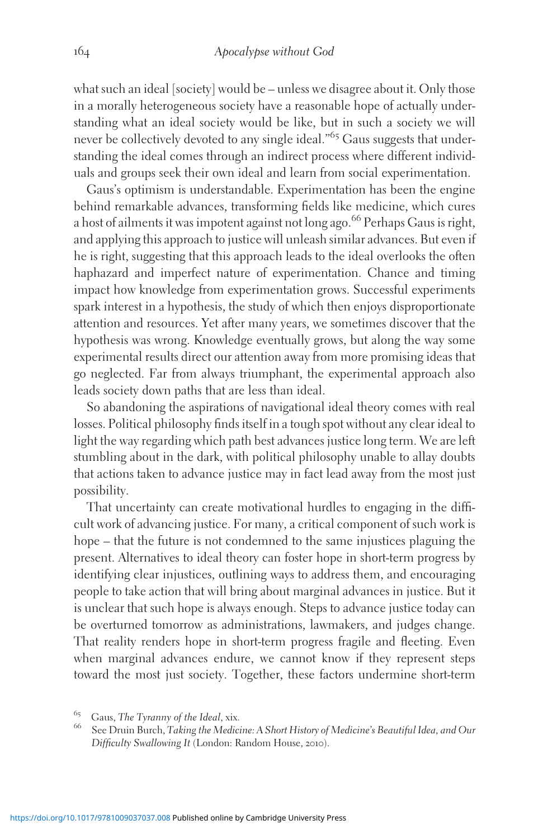what such an ideal [society] would be – unless we disagree about it. Only those in a morally heterogeneous society have a reasonable hope of actually understanding what an ideal society would be like, but in such a society we will never be collectively devoted to any single ideal."<sup>65</sup> Gaus suggests that understanding the ideal comes through an indirect process where different individuals and groups seek their own ideal and learn from social experimentation.

Gaus's optimism is understandable. Experimentation has been the engine behind remarkable advances, transforming fields like medicine, which cures a host of ailments it was impotent against not long ago.<sup>66</sup> Perhaps Gaus is right, and applying this approach to justice will unleash similar advances. But even if he is right, suggesting that this approach leads to the ideal overlooks the often haphazard and imperfect nature of experimentation. Chance and timing impact how knowledge from experimentation grows. Successful experiments spark interest in a hypothesis, the study of which then enjoys disproportionate attention and resources. Yet after many years, we sometimes discover that the hypothesis was wrong. Knowledge eventually grows, but along the way some experimental results direct our attention away from more promising ideas that go neglected. Far from always triumphant, the experimental approach also leads society down paths that are less than ideal.

So abandoning the aspirations of navigational ideal theory comes with real losses. Political philosophy finds itself in a tough spot without any clear ideal to light the way regarding which path best advances justice long term. We are left stumbling about in the dark, with political philosophy unable to allay doubts that actions taken to advance justice may in fact lead away from the most just possibility.

That uncertainty can create motivational hurdles to engaging in the difficult work of advancing justice. For many, a critical component of such work is hope – that the future is not condemned to the same injustices plaguing the present. Alternatives to ideal theory can foster hope in short-term progress by identifying clear injustices, outlining ways to address them, and encouraging people to take action that will bring about marginal advances in justice. But it is unclear that such hope is always enough. Steps to advance justice today can be overturned tomorrow as administrations, lawmakers, and judges change. That reality renders hope in short-term progress fragile and fleeting. Even when marginal advances endure, we cannot know if they represent steps toward the most just society. Together, these factors undermine short-term

<sup>&</sup>lt;sup>65</sup> Gaus, The Tyranny of the Ideal, xix.<br><sup>66</sup> See Druin Burch, Taking the Medicine: A Short History of Medicine's Beautiful Idea, and Our Difficulty Swallowing It (London: Random House, 2010).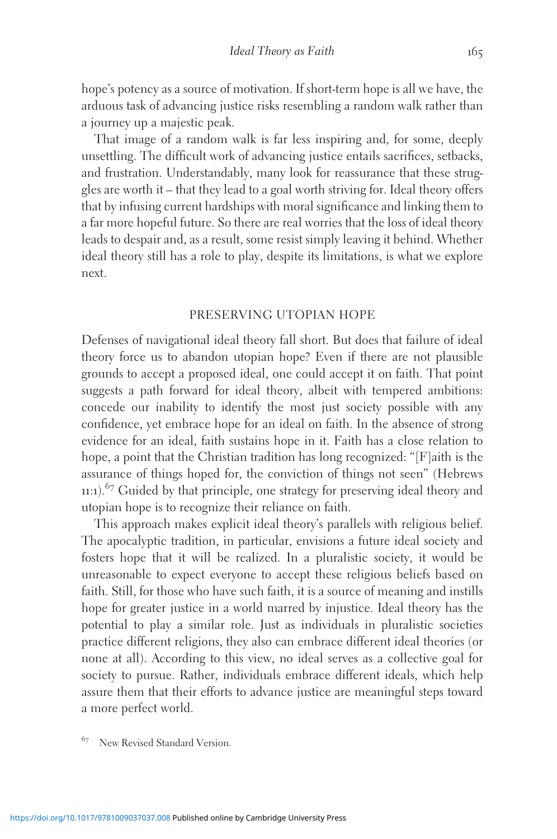hope's potency as a source of motivation. If short-term hope is all we have, the arduous task of advancing justice risks resembling a random walk rather than a journey up a majestic peak.

That image of a random walk is far less inspiring and, for some, deeply unsettling. The difficult work of advancing justice entails sacrifices, setbacks, and frustration. Understandably, many look for reassurance that these struggles are worth it – that they lead to a goal worth striving for. Ideal theory offers that by infusing current hardships with moral significance and linking them to a far more hopeful future. So there are real worries that the loss of ideal theory leads to despair and, as a result, some resist simply leaving it behind. Whether ideal theory still has a role to play, despite its limitations, is what we explore next.

## PRESERVING UTOPIAN HOPE

Defenses of navigational ideal theory fall short. But does that failure of ideal theory force us to abandon utopian hope? Even if there are not plausible grounds to accept a proposed ideal, one could accept it on faith. That point suggests a path forward for ideal theory, albeit with tempered ambitions: concede our inability to identify the most just society possible with any confidence, yet embrace hope for an ideal on faith. In the absence of strong evidence for an ideal, faith sustains hope in it. Faith has a close relation to hope, a point that the Christian tradition has long recognized: "[F]aith is the assurance of things hoped for, the conviction of things not seen" (Hebrews 11:1). $67$  Guided by that principle, one strategy for preserving ideal theory and utopian hope is to recognize their reliance on faith.

This approach makes explicit ideal theory's parallels with religious belief. The apocalyptic tradition, in particular, envisions a future ideal society and fosters hope that it will be realized. In a pluralistic society, it would be unreasonable to expect everyone to accept these religious beliefs based on faith. Still, for those who have such faith, it is a source of meaning and instills hope for greater justice in a world marred by injustice. Ideal theory has the potential to play a similar role. Just as individuals in pluralistic societies practice different religions, they also can embrace different ideal theories (or none at all). According to this view, no ideal serves as a collective goal for society to pursue. Rather, individuals embrace different ideals, which help assure them that their efforts to advance justice are meaningful steps toward a more perfect world.

<sup>67</sup> New Revised Standard Version.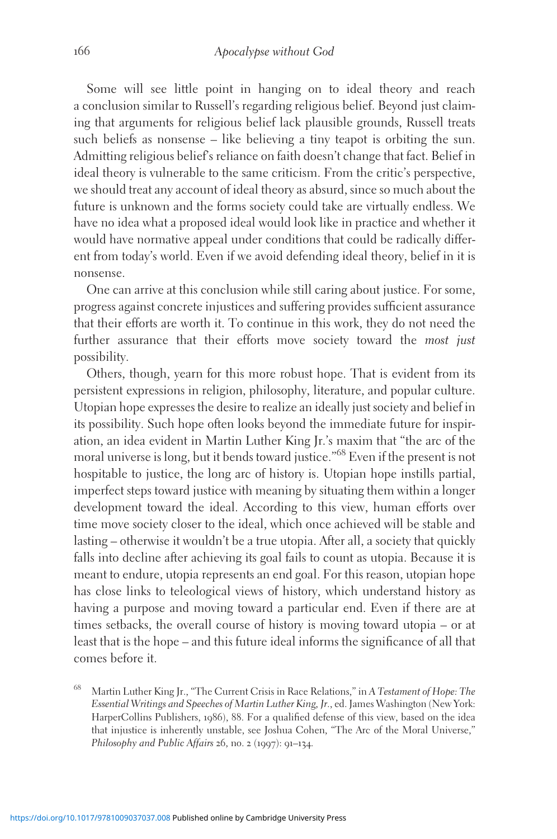Some will see little point in hanging on to ideal theory and reach a conclusion similar to Russell's regarding religious belief. Beyond just claiming that arguments for religious belief lack plausible grounds, Russell treats such beliefs as nonsense – like believing a tiny teapot is orbiting the sun. Admitting religious belief's reliance on faith doesn't change that fact. Belief in ideal theory is vulnerable to the same criticism. From the critic's perspective, we should treat any account of ideal theory as absurd, since so much about the future is unknown and the forms society could take are virtually endless. We have no idea what a proposed ideal would look like in practice and whether it would have normative appeal under conditions that could be radically different from today's world. Even if we avoid defending ideal theory, belief in it is nonsense.

One can arrive at this conclusion while still caring about justice. For some, progress against concrete injustices and suffering provides sufficient assurance that their efforts are worth it. To continue in this work, they do not need the further assurance that their efforts move society toward the most just possibility.

Others, though, yearn for this more robust hope. That is evident from its persistent expressions in religion, philosophy, literature, and popular culture. Utopian hope expresses the desire to realize an ideally just society and belief in its possibility. Such hope often looks beyond the immediate future for inspiration, an idea evident in Martin Luther King Jr.'s maxim that "the arc of the moral universe is long, but it bends toward justice."<sup>68</sup> Even if the present is not hospitable to justice, the long arc of history is. Utopian hope instills partial, imperfect steps toward justice with meaning by situating them within a longer development toward the ideal. According to this view, human efforts over time move society closer to the ideal, which once achieved will be stable and lasting – otherwise it wouldn't be a true utopia. After all, a society that quickly falls into decline after achieving its goal fails to count as utopia. Because it is meant to endure, utopia represents an end goal. For this reason, utopian hope has close links to teleological views of history, which understand history as having a purpose and moving toward a particular end. Even if there are at times setbacks, the overall course of history is moving toward utopia – or at least that is the hope – and this future ideal informs the significance of all that comes before it.

Martin Luther King Jr., "The Current Crisis in Race Relations," in A Testament of Hope: The Essential Writings and Speeches of Martin Luther King, Jr., ed. James Washington (New York: HarperCollins Publishers, 1986), 88. For a qualified defense of this view, based on the idea that injustice is inherently unstable, see Joshua Cohen, "The Arc of the Moral Universe," Philosophy and Public Affairs 26, no. 2 (1997): 91–134.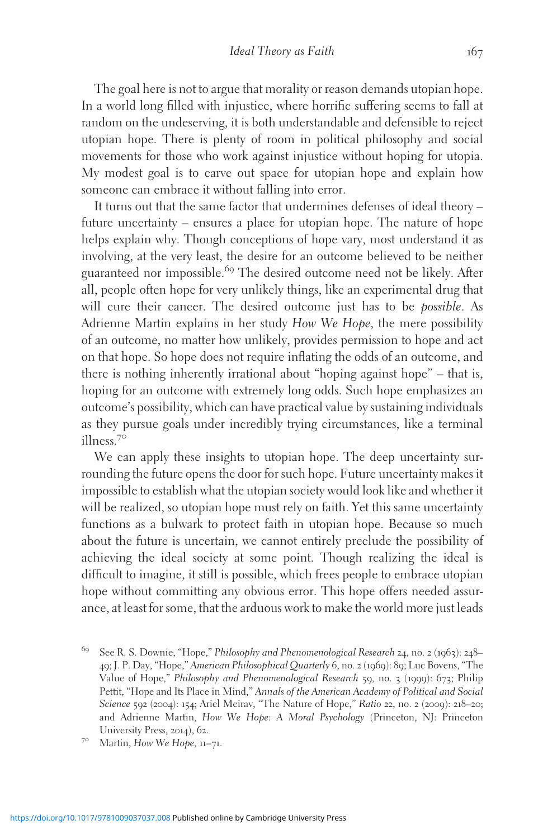The goal here is not to argue that morality or reason demands utopian hope. In a world long filled with injustice, where horrific suffering seems to fall at random on the undeserving, it is both understandable and defensible to reject utopian hope. There is plenty of room in political philosophy and social movements for those who work against injustice without hoping for utopia. My modest goal is to carve out space for utopian hope and explain how someone can embrace it without falling into error.

It turns out that the same factor that undermines defenses of ideal theory – future uncertainty – ensures a place for utopian hope. The nature of hope helps explain why. Though conceptions of hope vary, most understand it as involving, at the very least, the desire for an outcome believed to be neither guaranteed nor impossible.<sup>69</sup> The desired outcome need not be likely. After all, people often hope for very unlikely things, like an experimental drug that will cure their cancer. The desired outcome just has to be *possible*. As Adrienne Martin explains in her study How We Hope, the mere possibility of an outcome, no matter how unlikely, provides permission to hope and act on that hope. So hope does not require inflating the odds of an outcome, and there is nothing inherently irrational about "hoping against hope" – that is, hoping for an outcome with extremely long odds. Such hope emphasizes an outcome's possibility, which can have practical value by sustaining individuals as they pursue goals under incredibly trying circumstances, like a terminal illness.<sup>70</sup>

We can apply these insights to utopian hope. The deep uncertainty surrounding the future opens the door for such hope. Future uncertainty makes it impossible to establish what the utopian society would look like and whether it will be realized, so utopian hope must rely on faith. Yet this same uncertainty functions as a bulwark to protect faith in utopian hope. Because so much about the future is uncertain, we cannot entirely preclude the possibility of achieving the ideal society at some point. Though realizing the ideal is difficult to imagine, it still is possible, which frees people to embrace utopian hope without committing any obvious error. This hope offers needed assurance, at least for some, that the arduous work to make the world more just leads

<sup>69</sup> See R. S. Downie, "Hope," Philosophy and Phenomenological Research <sup>24</sup>, no. <sup>2</sup> (1963): <sup>248</sup>– 49; J. P. Day, "Hope," American Philosophical Quarterly 6, no. 2 (1969): 89; Luc Bovens, "The Value of Hope," Philosophy and Phenomenological Research 59, no. 3 (1999): 673; Philip Pettit, "Hope and Its Place in Mind," Annals of the American Academy of Political and Social Science 592 (2004): 154; Ariel Meirav, "The Nature of Hope," Ratio 22, no. 2 (2009): 218–20; and Adrienne Martin, How We Hope: A Moral Psychology (Princeton, NJ: Princeton University Press, 2014), 62.<br><sup>70</sup> Martin, How We Hope, 11–71.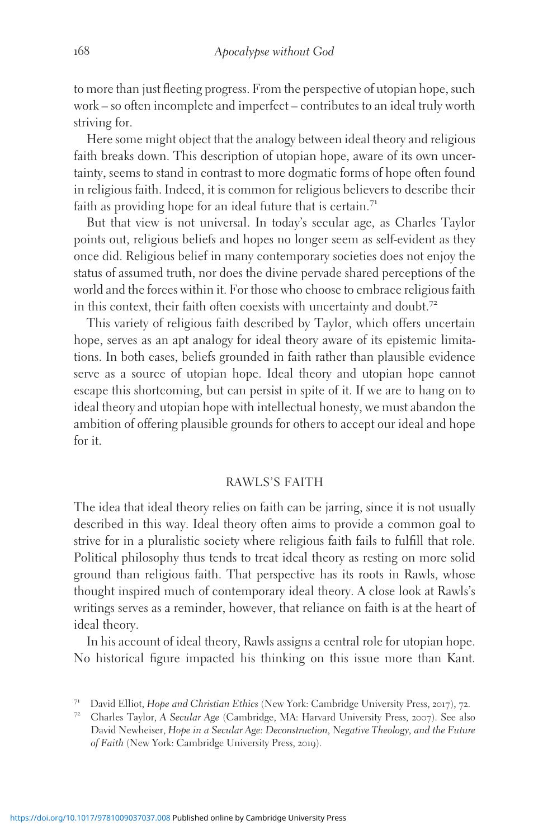to more than just fleeting progress. From the perspective of utopian hope, such work – so often incomplete and imperfect – contributes to an ideal truly worth striving for.

Here some might object that the analogy between ideal theory and religious faith breaks down. This description of utopian hope, aware of its own uncertainty, seems to stand in contrast to more dogmatic forms of hope often found in religious faith. Indeed, it is common for religious believers to describe their faith as providing hope for an ideal future that is certain.<sup>71</sup>

But that view is not universal. In today's secular age, as Charles Taylor points out, religious beliefs and hopes no longer seem as self-evident as they once did. Religious belief in many contemporary societies does not enjoy the status of assumed truth, nor does the divine pervade shared perceptions of the world and the forces within it. For those who choose to embrace religious faith in this context, their faith often coexists with uncertainty and doubt.<sup>72</sup>

This variety of religious faith described by Taylor, which offers uncertain hope, serves as an apt analogy for ideal theory aware of its epistemic limitations. In both cases, beliefs grounded in faith rather than plausible evidence serve as a source of utopian hope. Ideal theory and utopian hope cannot escape this shortcoming, but can persist in spite of it. If we are to hang on to ideal theory and utopian hope with intellectual honesty, we must abandon the ambition of offering plausible grounds for others to accept our ideal and hope for it.

# RAWLS'S FAITH

The idea that ideal theory relies on faith can be jarring, since it is not usually described in this way. Ideal theory often aims to provide a common goal to strive for in a pluralistic society where religious faith fails to fulfill that role. Political philosophy thus tends to treat ideal theory as resting on more solid ground than religious faith. That perspective has its roots in Rawls, whose thought inspired much of contemporary ideal theory. A close look at Rawls's writings serves as a reminder, however, that reliance on faith is at the heart of ideal theory.

In his account of ideal theory, Rawls assigns a central role for utopian hope. No historical figure impacted his thinking on this issue more than Kant.

<sup>&</sup>lt;sup>71</sup> David Elliot, Ho*pe and Christian Ethics* (New York: Cambridge University Press, 2017), 72.<br><sup>72</sup> Charles Taylor, A Secular Age (Cambridge, MA: Harvard University Press, 2007). See also

David Newheiser, Hope in a Secular Age: Deconstruction, Negative Theology, and the Future of Faith (New York: Cambridge University Press, 2019).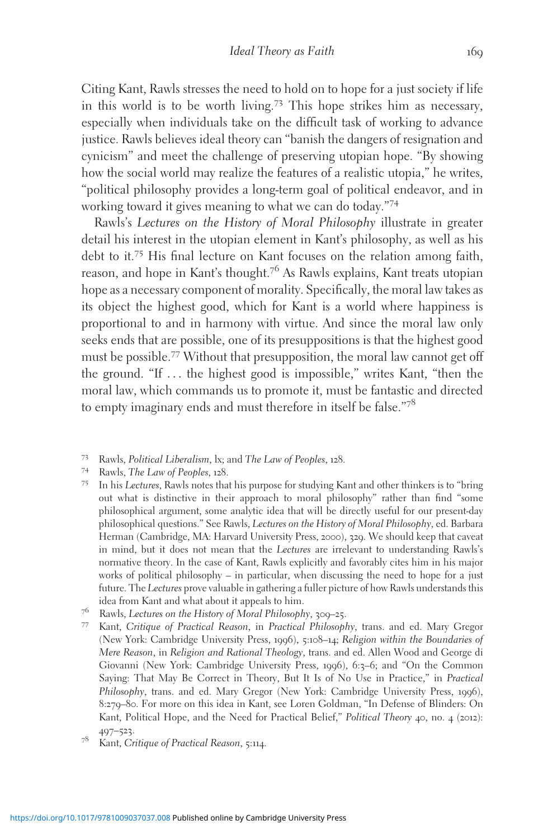Citing Kant, Rawls stresses the need to hold on to hope for a just society if life in this world is to be worth living.<sup>73</sup> This hope strikes him as necessary, especially when individuals take on the difficult task of working to advance justice. Rawls believes ideal theory can "banish the dangers of resignation and cynicism" and meet the challenge of preserving utopian hope. "By showing how the social world may realize the features of a realistic utopia," he writes, "political philosophy provides a long-term goal of political endeavor, and in working toward it gives meaning to what we can do today."<sup>74</sup>

Rawls's Lectures on the History of Moral Philosophy illustrate in greater detail his interest in the utopian element in Kant's philosophy, as well as his debt to it.<sup>75</sup> His final lecture on Kant focuses on the relation among faith, reason, and hope in Kant's thought.<sup>76</sup> As Rawls explains, Kant treats utopian hope as a necessary component of morality. Specifically, the moral law takes as its object the highest good, which for Kant is a world where happiness is proportional to and in harmony with virtue. And since the moral law only seeks ends that are possible, one of its presuppositions is that the highest good must be possible.<sup>77</sup> Without that presupposition, the moral law cannot get off the ground. "If ... the highest good is impossible," writes Kant, "then the moral law, which commands us to promote it, must be fantastic and directed to empty imaginary ends and must therefore in itself be false."78

- 
- <sup>73</sup> Rawls, Political Liberalism, lx; and The Law of Peoples, 128.<br><sup>74</sup> Rawls, The Law of Peoples, 128.<br><sup>75</sup> In his Lectures, Rawls notes that his purpose for studying Kant and other thinkers is to "bring out what is distinctive in their approach to moral philosophy" rather than find "some philosophical argument, some analytic idea that will be directly useful for our present-day philosophical questions." See Rawls, Lectures on the History of Moral Philosophy, ed. Barbara Herman (Cambridge, MA: Harvard University Press, 2000), 329. We should keep that caveat in mind, but it does not mean that the Lectures are irrelevant to understanding Rawls's normative theory. In the case of Kant, Rawls explicitly and favorably cites him in his major works of political philosophy – in particular, when discussing the need to hope for a just future. The Lectures prove valuable in gathering a fuller picture of how Rawls understands this idea from Kant and what about it appeals to him.<br><sup>76</sup> Rawls, *Lectures on the History of Moral Philosophy*, 309–25.
- 
- 77 Kant, Critique of Practical Reason, in Practical Philosophy, trans. and ed. Mary Gregor (New York: Cambridge University Press, 1996), 5:108–14; Religion within the Boundaries of Mere Reason, in Religion and Rational Theology, trans. and ed. Allen Wood and George di Giovanni (New York: Cambridge University Press, 1996), 6:3-6; and "On the Common Saying: That May Be Correct in Theory, But It Is of No Use in Practice," in Practical Philosophy, trans. and ed. Mary Gregor (New York: Cambridge University Press, 1996), 8:279–80. For more on this idea in Kant, see Loren Goldman, "In Defense of Blinders: On Kant, Political Hope, and the Need for Practical Belief," Political Theory 40, no. 4 (2012):
- 497–523.<br><sup>78</sup> Kant, Critique of Practical Reason, 5:114.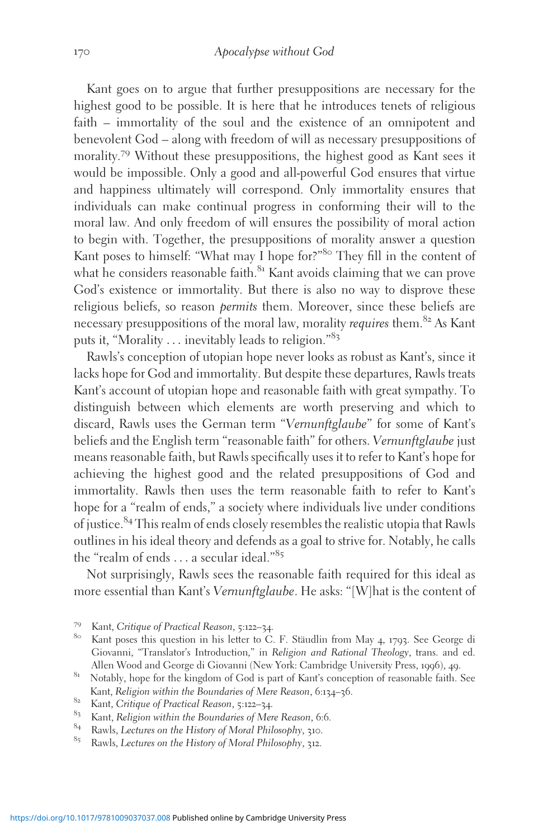Kant goes on to argue that further presuppositions are necessary for the highest good to be possible. It is here that he introduces tenets of religious faith – immortality of the soul and the existence of an omnipotent and benevolent God – along with freedom of will as necessary presuppositions of morality.<sup>79</sup> Without these presuppositions, the highest good as Kant sees it would be impossible. Only a good and all-powerful God ensures that virtue and happiness ultimately will correspond. Only immortality ensures that individuals can make continual progress in conforming their will to the moral law. And only freedom of will ensures the possibility of moral action to begin with. Together, the presuppositions of morality answer a question Kant poses to himself: "What may I hope for?"<sup>80</sup> They fill in the content of what he considers reasonable faith.<sup>81</sup> Kant avoids claiming that we can prove God's existence or immortality. But there is also no way to disprove these religious beliefs, so reason permits them. Moreover, since these beliefs are necessary presuppositions of the moral law, morality *requires* them.<sup>82</sup> As Kant puts it, "Morality ... inevitably leads to religion."<sup>83</sup>

Rawls's conception of utopian hope never looks as robust as Kant's, since it lacks hope for God and immortality. But despite these departures, Rawls treats Kant's account of utopian hope and reasonable faith with great sympathy. To distinguish between which elements are worth preserving and which to discard, Rawls uses the German term "Vernunftglaube" for some of Kant's beliefs and the English term "reasonable faith" for others. Vernunftglaube just means reasonable faith, but Rawls specifically uses it to refer to Kant's hope for achieving the highest good and the related presuppositions of God and immortality. Rawls then uses the term reasonable faith to refer to Kant's hope for a "realm of ends," a society where individuals live under conditions of justice.<sup>84</sup> This realm of ends closely resembles the realistic utopia that Rawls outlines in his ideal theory and defends as a goal to strive for. Notably, he calls the "realm of ends  $\dots$  a secular ideal."<sup>85</sup>

Not surprisingly, Rawls sees the reasonable faith required for this ideal as more essential than Kant's Vernunftglaube. He asks: "[W]hat is the content of

<sup>&</sup>lt;sup>79</sup> Kant, Critique of Practical Reason, 5:122–34.<br><sup>80</sup> Kant poses this question in his letter to C. F. Stäudlin from May 4, 1793. See George di Giovanni, "Translator's Introduction," in Religion and Rational Theology, trans. and ed. Allen Wood and George di Giovanni (New York: Cambridge University Press, 1996), 49.

<sup>&</sup>lt;sup>81</sup> Notably, hope for the kingdom of God is part of Kant's conception of reasonable faith. See Kant, Religion within the Boundaries of Mere Reason, 6:134–36.<br>
<sup>82</sup> Kant, Critique of Practical Reason, 5:122–34.<br>
<sup>83</sup> Kant, Religion within the Boundaries of Mere Reason, 6:6.<br>
<sup>84</sup> Rawls, Lectures on the History of Mo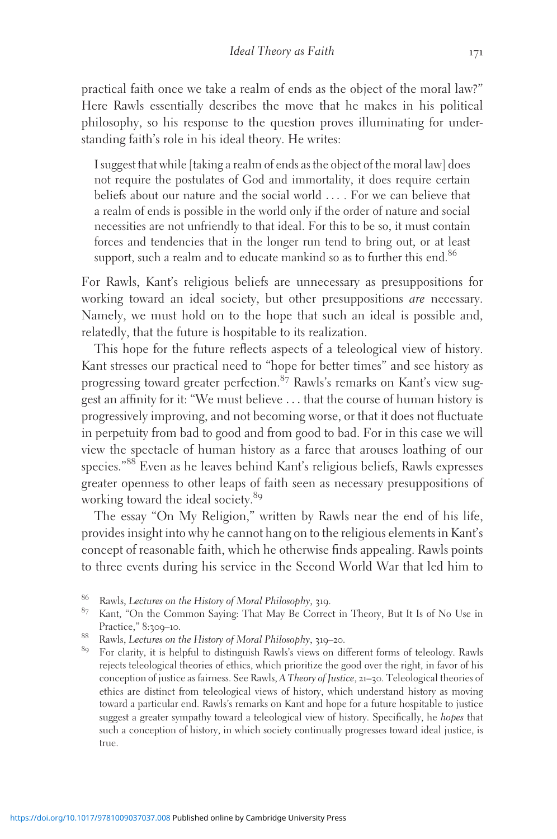practical faith once we take a realm of ends as the object of the moral law?" Here Rawls essentially describes the move that he makes in his political philosophy, so his response to the question proves illuminating for understanding faith's role in his ideal theory. He writes:

I suggest that while [taking a realm of ends as the object of the moral law] does not require the postulates of God and immortality, it does require certain beliefs about our nature and the social world ... . For we can believe that a realm of ends is possible in the world only if the order of nature and social necessities are not unfriendly to that ideal. For this to be so, it must contain forces and tendencies that in the longer run tend to bring out, or at least support, such a realm and to educate mankind so as to further this end.<sup>86</sup>

For Rawls, Kant's religious beliefs are unnecessary as presuppositions for working toward an ideal society, but other presuppositions are necessary. Namely, we must hold on to the hope that such an ideal is possible and, relatedly, that the future is hospitable to its realization.

This hope for the future reflects aspects of a teleological view of history. Kant stresses our practical need to "hope for better times" and see history as progressing toward greater perfection.<sup>87</sup> Rawls's remarks on Kant's view suggest an affinity for it: "We must believe ... that the course of human history is progressively improving, and not becoming worse, or that it does not fluctuate in perpetuity from bad to good and from good to bad. For in this case we will view the spectacle of human history as a farce that arouses loathing of our species."<sup>88</sup> Even as he leaves behind Kant's religious beliefs, Rawls expresses greater openness to other leaps of faith seen as necessary presuppositions of working toward the ideal society.<sup>89</sup>

The essay "On My Religion," written by Rawls near the end of his life, provides insight into why he cannot hang on to the religious elements in Kant's concept of reasonable faith, which he otherwise finds appealing. Rawls points to three events during his service in the Second World War that led him to

<sup>&</sup>lt;sup>86</sup> Rawls, *Lectures on the History of Moral Philosophy*, 319.<br><sup>87</sup> Kant, "On the Common Saying: That May Be Correct in Theory, But It Is of No Use in Practice," 8:309–10.<br><sup>88</sup> Rawls, *Lectures on the History of Moral Philosophy*, 319–20.<br><sup>89</sup> For clarity, it is helpful to distinguish Rawls's views on different forms of teleology. Rawls

rejects teleological theories of ethics, which prioritize the good over the right, in favor of his conception of justice as fairness. See Rawls, A Theory of Justice, 21–30. Teleological theories of ethics are distinct from teleological views of history, which understand history as moving toward a particular end. Rawls's remarks on Kant and hope for a future hospitable to justice suggest a greater sympathy toward a teleological view of history. Specifically, he hopes that such a conception of history, in which society continually progresses toward ideal justice, is true.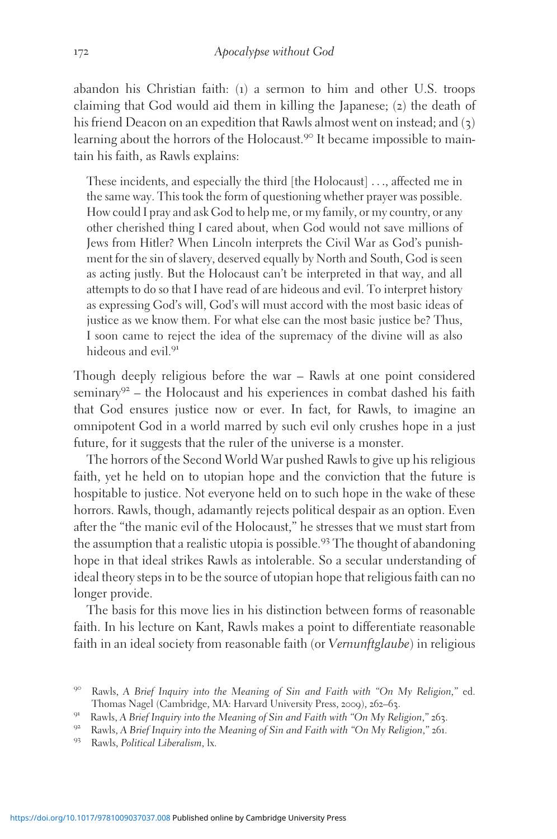abandon his Christian faith: (1) a sermon to him and other U.S. troops claiming that God would aid them in killing the Japanese; (2) the death of his friend Deacon on an expedition that Rawls almost went on instead; and (3) learning about the horrors of the Holocaust.<sup>90</sup> It became impossible to maintain his faith, as Rawls explains:

These incidents, and especially the third [the Holocaust] ..., affected me in the same way. This took the form of questioning whether prayer was possible. How could I pray and ask God to help me, or my family, or my country, or any other cherished thing I cared about, when God would not save millions of Jews from Hitler? When Lincoln interprets the Civil War as God's punishment for the sin of slavery, deserved equally by North and South, God is seen as acting justly. But the Holocaust can't be interpreted in that way, and all attempts to do so that I have read of are hideous and evil. To interpret history as expressing God's will, God's will must accord with the most basic ideas of justice as we know them. For what else can the most basic justice be? Thus, I soon came to reject the idea of the supremacy of the divine will as also hideous and evil.<sup>91</sup>

Though deeply religious before the war – Rawls at one point considered seminary $92$  – the Holocaust and his experiences in combat dashed his faith that God ensures justice now or ever. In fact, for Rawls, to imagine an omnipotent God in a world marred by such evil only crushes hope in a just future, for it suggests that the ruler of the universe is a monster.

The horrors of the Second World War pushed Rawls to give up his religious faith, yet he held on to utopian hope and the conviction that the future is hospitable to justice. Not everyone held on to such hope in the wake of these horrors. Rawls, though, adamantly rejects political despair as an option. Even after the "the manic evil of the Holocaust," he stresses that we must start from the assumption that a realistic utopia is possible.<sup>93</sup> The thought of abandoning hope in that ideal strikes Rawls as intolerable. So a secular understanding of ideal theory steps in to be the source of utopian hope that religious faith can no longer provide.

The basis for this move lies in his distinction between forms of reasonable faith. In his lecture on Kant, Rawls makes a point to differentiate reasonable faith in an ideal society from reasonable faith (or Vernunftglaube) in religious

<sup>9&</sup>lt;sup>o</sup> Rawls, A Brief Inquiry into the Meaning of Sin and Faith with "On My Religion," ed.<br>Thomas Nagel (Cambridge, MA: Harvard University Press, 2009), 262–63.

<sup>&</sup>lt;sup>91</sup> Rawls, A Brief Inquiry into the Meaning of Sin and Faith with "On My Religion,"  $263$ .<br><sup>92</sup> Rawls, A Brief Inquiry into the Meaning of Sin and Faith with "On My Religion," 261.<br><sup>93</sup> Rawls, Political Liberalism, lx.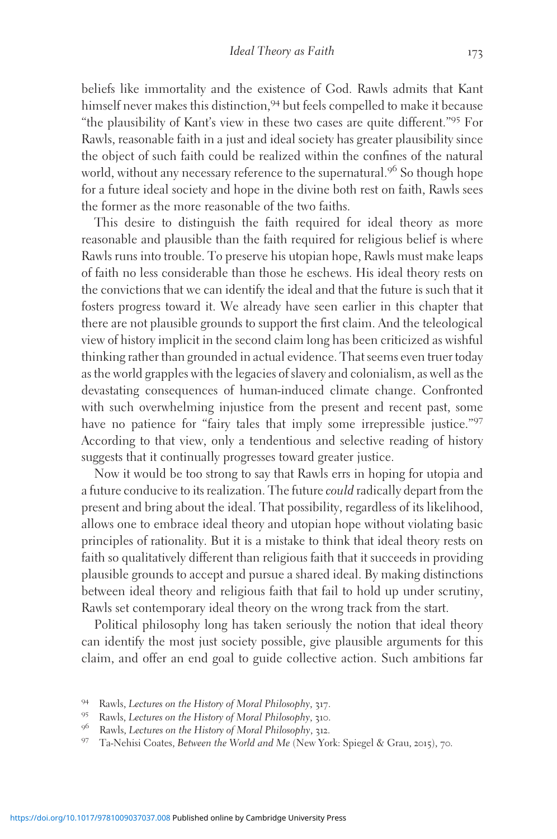beliefs like immortality and the existence of God. Rawls admits that Kant himself never makes this distinction,<sup>94</sup> but feels compelled to make it because "the plausibility of Kant's view in these two cases are quite different."<sup>95</sup> For Rawls, reasonable faith in a just and ideal society has greater plausibility since the object of such faith could be realized within the confines of the natural world, without any necessary reference to the supernatural.<sup>96</sup> So though hope for a future ideal society and hope in the divine both rest on faith, Rawls sees the former as the more reasonable of the two faiths.

This desire to distinguish the faith required for ideal theory as more reasonable and plausible than the faith required for religious belief is where Rawls runs into trouble. To preserve his utopian hope, Rawls must make leaps of faith no less considerable than those he eschews. His ideal theory rests on the convictions that we can identify the ideal and that the future is such that it fosters progress toward it. We already have seen earlier in this chapter that there are not plausible grounds to support the first claim. And the teleological view of history implicit in the second claim long has been criticized as wishful thinking rather than grounded in actual evidence. That seems even truer today as the world grapples with the legacies of slavery and colonialism, as well as the devastating consequences of human-induced climate change. Confronted with such overwhelming injustice from the present and recent past, some have no patience for "fairy tales that imply some irrepressible justice."97 According to that view, only a tendentious and selective reading of history suggests that it continually progresses toward greater justice.

Now it would be too strong to say that Rawls errs in hoping for utopia and a future conducive to its realization. The future could radically depart from the present and bring about the ideal. That possibility, regardless of its likelihood, allows one to embrace ideal theory and utopian hope without violating basic principles of rationality. But it is a mistake to think that ideal theory rests on faith so qualitatively different than religious faith that it succeeds in providing plausible grounds to accept and pursue a shared ideal. By making distinctions between ideal theory and religious faith that fail to hold up under scrutiny, Rawls set contemporary ideal theory on the wrong track from the start.

Political philosophy long has taken seriously the notion that ideal theory can identify the most just society possible, give plausible arguments for this claim, and offer an end goal to guide collective action. Such ambitions far

<sup>&</sup>lt;sup>94</sup> Rawls, *Lectures on the History of Moral Philosophy*, 317.<br><sup>95</sup> Rawls, *Lectures on the History of Moral Philosophy*, 310.<br><sup>96</sup> Rawls, *Lectures on the History of Moral Philosophy*, 312.<br><sup>97</sup> Ta-Nehisi Coates, *Betwee*